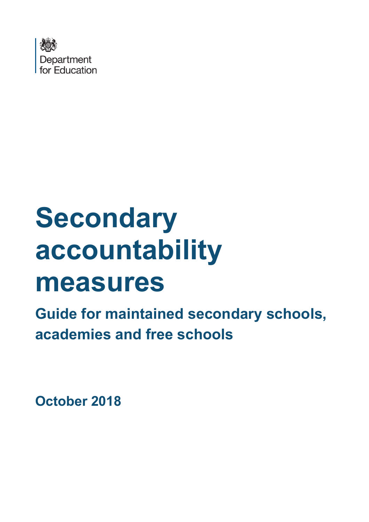

# **Secondary accountability measures**

**Guide for maintained secondary schools, academies and free schools**

**October 2018**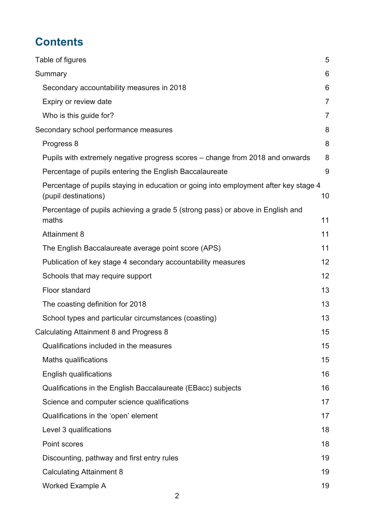# **Contents**

| Table of figures                                                                                             | 5              |
|--------------------------------------------------------------------------------------------------------------|----------------|
| Summary                                                                                                      | 6              |
| Secondary accountability measures in 2018                                                                    | 6              |
| Expiry or review date                                                                                        | 7              |
| Who is this guide for?                                                                                       | $\overline{7}$ |
| Secondary school performance measures                                                                        | 8              |
| Progress 8                                                                                                   | 8              |
| Pupils with extremely negative progress scores – change from 2018 and onwards                                | 8              |
| Percentage of pupils entering the English Baccalaureate                                                      | 9              |
| Percentage of pupils staying in education or going into employment after key stage 4<br>(pupil destinations) | 10             |
| Percentage of pupils achieving a grade 5 (strong pass) or above in English and<br>maths                      | 11             |
| <b>Attainment 8</b>                                                                                          | 11             |
| The English Baccalaureate average point score (APS)                                                          | 11             |
| Publication of key stage 4 secondary accountability measures                                                 | 12             |
| Schools that may require support                                                                             | 12             |
| Floor standard                                                                                               | 13             |
| The coasting definition for 2018                                                                             | 13             |
| School types and particular circumstances (coasting)                                                         | 13             |
| Calculating Attainment 8 and Progress 8                                                                      | 15             |
| Qualifications included in the measures                                                                      | 15             |
| Maths qualifications                                                                                         | 15             |
| <b>English qualifications</b>                                                                                | 16             |
| Qualifications in the English Baccalaureate (EBacc) subjects                                                 | 16             |
| Science and computer science qualifications                                                                  | 17             |
| Qualifications in the 'open' element                                                                         | 17             |
| Level 3 qualifications                                                                                       | 18             |
| Point scores                                                                                                 | 18             |
| Discounting, pathway and first entry rules                                                                   | 19             |
| <b>Calculating Attainment 8</b>                                                                              | 19             |
| <b>Worked Example A</b>                                                                                      | 19             |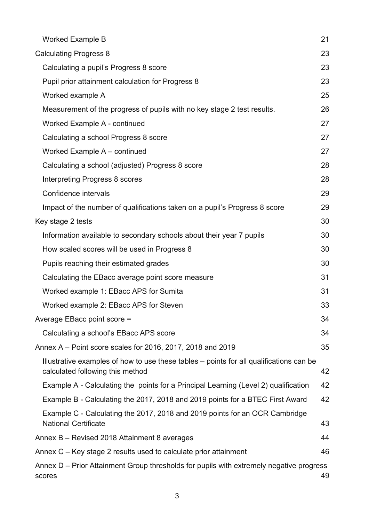| <b>Worked Example B</b>                                                                                                     | 21 |
|-----------------------------------------------------------------------------------------------------------------------------|----|
| <b>Calculating Progress 8</b>                                                                                               | 23 |
| Calculating a pupil's Progress 8 score                                                                                      | 23 |
| Pupil prior attainment calculation for Progress 8                                                                           | 23 |
| Worked example A                                                                                                            | 25 |
| Measurement of the progress of pupils with no key stage 2 test results.                                                     | 26 |
| Worked Example A - continued                                                                                                | 27 |
| Calculating a school Progress 8 score                                                                                       | 27 |
| Worked Example A - continued                                                                                                | 27 |
| Calculating a school (adjusted) Progress 8 score                                                                            | 28 |
| Interpreting Progress 8 scores                                                                                              | 28 |
| Confidence intervals                                                                                                        | 29 |
| Impact of the number of qualifications taken on a pupil's Progress 8 score                                                  | 29 |
| Key stage 2 tests                                                                                                           | 30 |
| Information available to secondary schools about their year 7 pupils                                                        | 30 |
| How scaled scores will be used in Progress 8                                                                                | 30 |
| Pupils reaching their estimated grades                                                                                      | 30 |
| Calculating the EBacc average point score measure                                                                           | 31 |
| Worked example 1: EBacc APS for Sumita                                                                                      | 31 |
| Worked example 2: EBacc APS for Steven                                                                                      | 33 |
| Average EBacc point score =                                                                                                 | 34 |
| Calculating a school's EBacc APS score                                                                                      | 34 |
| Annex A – Point score scales for 2016, 2017, 2018 and 2019                                                                  | 35 |
| Illustrative examples of how to use these tables - points for all qualifications can be<br>calculated following this method | 42 |
| Example A - Calculating the points for a Principal Learning (Level 2) qualification                                         | 42 |
| Example B - Calculating the 2017, 2018 and 2019 points for a BTEC First Award                                               | 42 |
| Example C - Calculating the 2017, 2018 and 2019 points for an OCR Cambridge<br><b>National Certificate</b>                  | 43 |
| Annex B - Revised 2018 Attainment 8 averages                                                                                | 44 |
| Annex C – Key stage 2 results used to calculate prior attainment                                                            | 46 |
| Annex D – Prior Attainment Group thresholds for pupils with extremely negative progress<br>scores                           | 49 |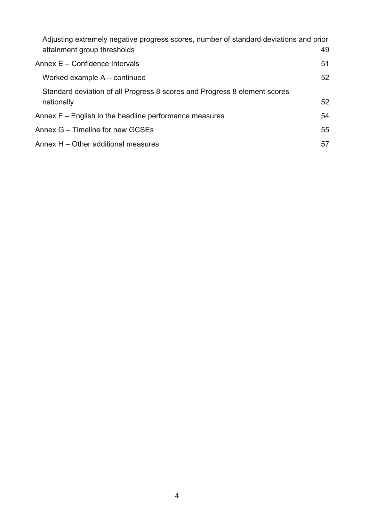| Adjusting extremely negative progress scores, number of standard deviations and prior |    |
|---------------------------------------------------------------------------------------|----|
| attainment group thresholds                                                           | 49 |
| Annex $E -$ Confidence Intervals                                                      | 51 |
| Worked example $A$ – continued                                                        | 52 |
| Standard deviation of all Progress 8 scores and Progress 8 element scores             |    |
| nationally                                                                            | 52 |
| Annex $F -$ English in the headline performance measures                              | 54 |
| Annex G – Timeline for new GCSEs                                                      | 55 |
| Annex H – Other additional measures                                                   | 57 |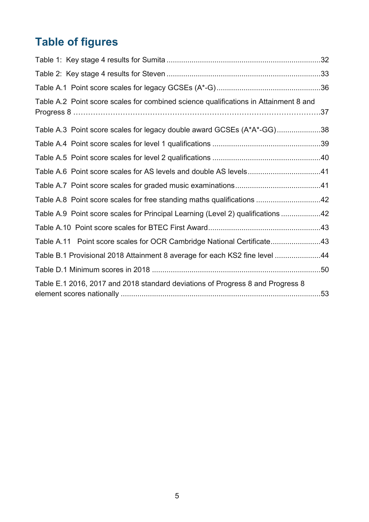# <span id="page-4-0"></span>**Table of figures**

| Table A.2 Point score scales for combined science qualifications in Attainment 8 and |  |
|--------------------------------------------------------------------------------------|--|
| Table A.3 Point score scales for legacy double award GCSEs (A*A*-GG)38               |  |
|                                                                                      |  |
|                                                                                      |  |
|                                                                                      |  |
|                                                                                      |  |
| Table A.8 Point score scales for free standing maths qualifications 42               |  |
| Table A.9 Point score scales for Principal Learning (Level 2) qualifications 42      |  |
|                                                                                      |  |
| Table A.11 Point score scales for OCR Cambridge National Certificate43               |  |
| Table B.1 Provisional 2018 Attainment 8 average for each KS2 fine level 44           |  |
|                                                                                      |  |
| Table E.1 2016, 2017 and 2018 standard deviations of Progress 8 and Progress 8       |  |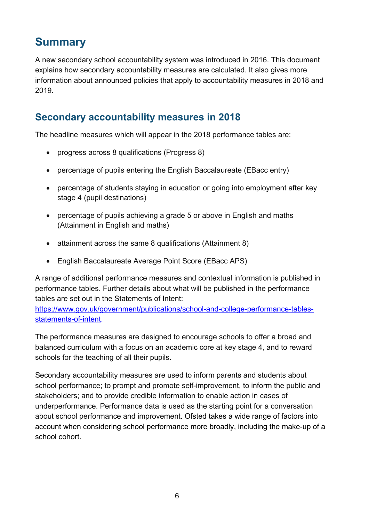# <span id="page-5-0"></span>**Summary**

A new secondary school accountability system was introduced in 2016. This document explains how secondary accountability measures are calculated. It also gives more information about announced policies that apply to accountability measures in 2018 and 2019.

## <span id="page-5-1"></span>**Secondary accountability measures in 2018**

The headline measures which will appear in the 2018 performance tables are:

- progress across 8 qualifications (Progress 8)
- percentage of pupils entering the English Baccalaureate (EBacc entry)
- percentage of students staying in education or going into employment after key stage 4 (pupil destinations)
- percentage of pupils achieving a grade 5 or above in English and maths (Attainment in English and maths)
- attainment across the same 8 qualifications (Attainment 8)
- English Baccalaureate Average Point Score (EBacc APS)

A range of additional performance measures and contextual information is published in performance tables. Further details about what will be published in the performance tables are set out in the Statements of Intent:

[https://www.gov.uk/government/publications/school-and-college-performance-tables](https://www.gov.uk/government/publications/school-and-college-performance-tables-statements-of-intent)[statements-of-intent.](https://www.gov.uk/government/publications/school-and-college-performance-tables-statements-of-intent)

The performance measures are designed to encourage schools to offer a broad and balanced curriculum with a focus on an academic core at key stage 4, and to reward schools for the teaching of all their pupils.

Secondary accountability measures are used to inform parents and students about school performance; to prompt and promote self-improvement, to inform the public and stakeholders; and to provide credible information to enable action in cases of underperformance. Performance data is used as the starting point for a conversation about school performance and improvement. Ofsted takes a wide range of factors into account when considering school performance more broadly, including the make-up of a school cohort.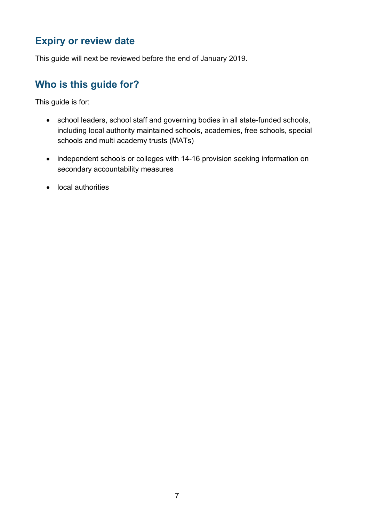## <span id="page-6-0"></span>**Expiry or review date**

This guide will next be reviewed before the end of January 2019.

## <span id="page-6-1"></span>**Who is this guide for?**

This guide is for:

- school leaders, school staff and governing bodies in all state-funded schools, including local authority maintained schools, academies, free schools, special schools and multi academy trusts (MATs)
- independent schools or colleges with 14-16 provision seeking information on secondary accountability measures
- local authorities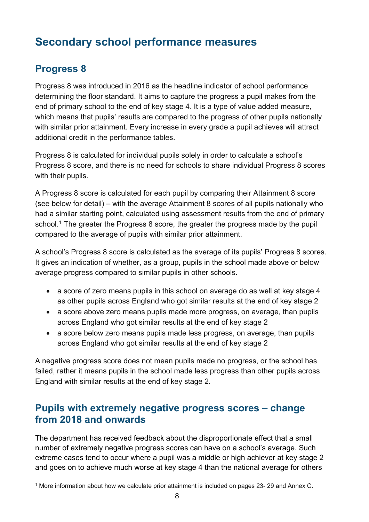# <span id="page-7-0"></span>**Secondary school performance measures**

## <span id="page-7-1"></span>**Progress 8**

Progress 8 was introduced in 2016 as the headline indicator of school performance determining the floor standard. It aims to capture the progress a pupil makes from the end of primary school to the end of key stage 4. It is a type of value added measure, which means that pupils' results are compared to the progress of other pupils nationally with similar prior attainment. Every increase in every grade a pupil achieves will attract additional credit in the performance tables.

Progress 8 is calculated for individual pupils solely in order to calculate a school's Progress 8 score, and there is no need for schools to share individual Progress 8 scores with their pupils.

A Progress 8 score is calculated for each pupil by comparing their Attainment 8 score (see below for detail) – with the average Attainment 8 scores of all pupils nationally who had a similar starting point, calculated using assessment results from the end of primary school.<sup>[1](#page-7-3)</sup> The greater the Progress 8 score, the greater the progress made by the pupil compared to the average of pupils with similar prior attainment.

A school's Progress 8 score is calculated as the average of its pupils' Progress 8 scores. It gives an indication of whether, as a group, pupils in the school made above or below average progress compared to similar pupils in other schools.

- a score of zero means pupils in this school on average do as well at key stage 4 as other pupils across England who got similar results at the end of key stage 2
- a score above zero means pupils made more progress, on average, than pupils across England who got similar results at the end of key stage 2
- a score below zero means pupils made less progress, on average, than pupils across England who got similar results at the end of key stage 2

A negative progress score does not mean pupils made no progress, or the school has failed, rather it means pupils in the school made less progress than other pupils across England with similar results at the end of key stage 2.

#### <span id="page-7-2"></span>**Pupils with extremely negative progress scores – change from 2018 and onwards**

The department has received feedback about the disproportionate effect that a small number of extremely negative progress scores can have on a school's average. Such extreme cases tend to occur where a pupil was a middle or high achiever at key stage 2 and goes on to achieve much worse at key stage 4 than the national average for others

<span id="page-7-3"></span> <sup>1</sup> More information about how we calculate prior attainment is included on pages 23- <sup>29</sup> and Annex C.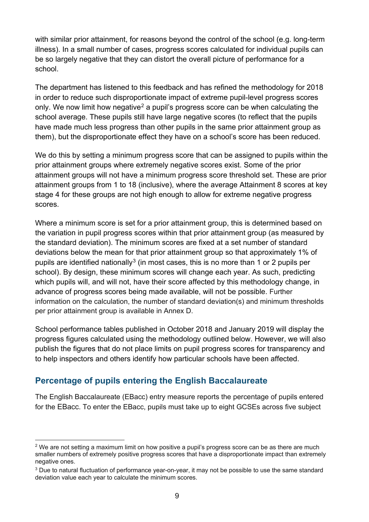with similar prior attainment, for reasons beyond the control of the school (e.g. long-term illness). In a small number of cases, progress scores calculated for individual pupils can be so largely negative that they can distort the overall picture of performance for a school.

The department has listened to this feedback and has refined the methodology for 2018 in order to reduce such disproportionate impact of extreme pupil-level progress scores only. We now limit how negative<sup>[2](#page-8-1)</sup> a pupil's progress score can be when calculating the school average. These pupils still have large negative scores (to reflect that the pupils have made much less progress than other pupils in the same prior attainment group as them), but the disproportionate effect they have on a school's score has been reduced.

We do this by setting a minimum progress score that can be assigned to pupils within the prior attainment groups where extremely negative scores exist. Some of the prior attainment groups will not have a minimum progress score threshold set. These are prior attainment groups from 1 to 18 (inclusive), where the average Attainment 8 scores at key stage 4 for these groups are not high enough to allow for extreme negative progress scores.

Where a minimum score is set for a prior attainment group, this is determined based on the variation in pupil progress scores within that prior attainment group (as measured by the standard deviation). The minimum scores are fixed at a set number of standard deviations below the mean for that prior attainment group so that approximately 1% of pupils are identified nationally<sup>[3](#page-8-2)</sup> (in most cases, this is no more than 1 or 2 pupils per school). By design, these minimum scores will change each year. As such, predicting which pupils will, and will not, have their score affected by this methodology change, in advance of progress scores being made available, will not be possible. Further information on the calculation, the number of standard deviation(s) and minimum thresholds per prior attainment group is available in Annex D.

School performance tables published in October 2018 and January 2019 will display the progress figures calculated using the methodology outlined below. However, we will also publish the figures that do not place limits on pupil progress scores for transparency and to help inspectors and others identify how particular schools have been affected.

#### <span id="page-8-0"></span>**Percentage of pupils entering the English Baccalaureate**

The English Baccalaureate (EBacc) entry measure reports the percentage of pupils entered for the EBacc. To enter the EBacc, pupils must take up to eight GCSEs across five subject

<span id="page-8-1"></span><sup>&</sup>lt;sup>2</sup> We are not setting a maximum limit on how positive a pupil's progress score can be as there are much smaller numbers of extremely positive progress scores that have a disproportionate impact than extremely negative ones.

<span id="page-8-2"></span><sup>&</sup>lt;sup>3</sup> Due to natural fluctuation of performance year-on-year, it may not be possible to use the same standard deviation value each year to calculate the minimum scores.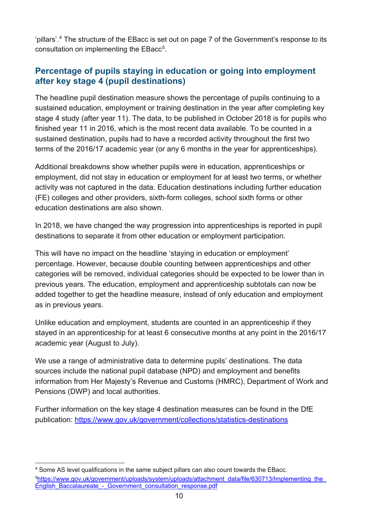'pillars'.[4](#page-9-1) The structure of the EBacc is set out on page 7 of the Government's response to its consultation on implementing the EBacc<sup>5</sup>.

#### <span id="page-9-0"></span>**Percentage of pupils staying in education or going into employment after key stage 4 (pupil destinations)**

The headline pupil destination measure shows the percentage of pupils continuing to a sustained education, employment or training destination in the year after completing key stage 4 study (after year 11). The data, to be published in October 2018 is for pupils who finished year 11 in 2016, which is the most recent data available. To be counted in a sustained destination, pupils had to have a recorded activity throughout the first two terms of the 2016/17 academic year (or any 6 months in the year for apprenticeships).

Additional breakdowns show whether pupils were in education, apprenticeships or employment, did not stay in education or employment for at least two terms, or whether activity was not captured in the data. Education destinations including further education (FE) colleges and other providers, sixth-form colleges, school sixth forms or other education destinations are also shown.

In 2018, we have changed the way progression into apprenticeships is reported in pupil destinations to separate it from other education or employment participation.

This will have no impact on the headline 'staying in education or employment' percentage. However, because double counting between apprenticeships and other categories will be removed, individual categories should be expected to be lower than in previous years. The education, employment and apprenticeship subtotals can now be added together to get the headline measure, instead of only education and employment as in previous years.

Unlike education and employment, students are counted in an apprenticeship if they stayed in an apprenticeship for at least 6 consecutive months at any point in the 2016/17 academic year (August to July).

We use a range of administrative data to determine pupils' destinations. The data sources include the national pupil database (NPD) and employment and benefits information from Her Majesty's Revenue and Customs (HMRC), Department of Work and Pensions (DWP) and local authorities.

Further information on the key stage 4 destination measures can be found in the DfE publication:<https://www.gov.uk/government/collections/statistics-destinations>

<span id="page-9-2"></span><span id="page-9-1"></span> <sup>4</sup> Some AS level qualifications in the same subject pillars can also count towards the EBacc. <sup>5</sup>https://www.gov.uk/government/uploads/system/uploads/attachment\_data/file/630713/Implementing\_the English\_Baccalaureate - Government\_consultation\_response.pdf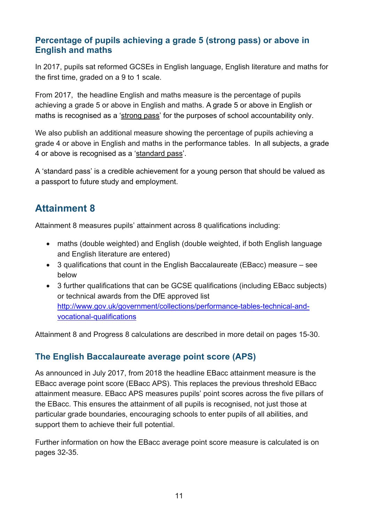#### <span id="page-10-0"></span>**Percentage of pupils achieving a grade 5 (strong pass) or above in English and maths**

In 2017, pupils sat reformed GCSEs in English language, English literature and maths for the first time, graded on a 9 to 1 scale.

From 2017, the headline English and maths measure is the percentage of pupils achieving a grade 5 or above in English and maths. A grade 5 or above in English or maths is recognised as a 'strong pass' for the purposes of school accountability only.

We also publish an additional measure showing the percentage of pupils achieving a grade 4 or above in English and maths in the performance tables. In all subjects, a grade 4 or above is recognised as a 'standard pass'.

A 'standard pass' is a credible achievement for a young person that should be valued as a passport to future study and employment.

## <span id="page-10-1"></span>**Attainment 8**

Attainment 8 measures pupils' attainment across 8 qualifications including:

- maths (double weighted) and English (double weighted, if both English language and English literature are entered)
- 3 qualifications that count in the English Baccalaureate (EBacc) measure see below
- 3 further qualifications that can be GCSE qualifications (including EBacc subjects) or technical awards from the DfE approved list [http://www.gov.uk/government/collections/performance-tables-technical-and](http://www.gov.uk/government/collections/performance-tables-technical-and-vocational-qualifications)[vocational-qualifications](http://www.gov.uk/government/collections/performance-tables-technical-and-vocational-qualifications)

Attainment 8 and Progress 8 calculations are described in more detail on pages 15-30.

#### <span id="page-10-2"></span>**The English Baccalaureate average point score (APS)**

As announced in July 2017, from 2018 the headline EBacc attainment measure is the EBacc average point score (EBacc APS). This replaces the previous threshold EBacc attainment measure. EBacc APS measures pupils' point scores across the five pillars of the EBacc. This ensures the attainment of all pupils is recognised, not just those at particular grade boundaries, encouraging schools to enter pupils of all abilities, and support them to achieve their full potential.

Further information on how the EBacc average point score measure is calculated is on pages 32-35.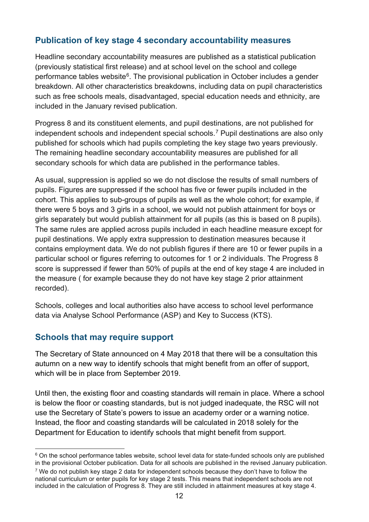#### <span id="page-11-0"></span>**Publication of key stage 4 secondary accountability measures**

Headline secondary accountability measures are published as a statistical publication (previously statistical first release) and at school level on the school and college performance tables website $6$ . The provisional publication in October includes a gender breakdown. All other characteristics breakdowns, including data on pupil characteristics such as free schools meals, disadvantaged, special education needs and ethnicity, are included in the January revised publication.

Progress 8 and its constituent elements, and pupil destinations, are not published for independent schools and independent special schools.<sup>[7](#page-11-3)</sup> Pupil destinations are also only published for schools which had pupils completing the key stage two years previously. The remaining headline secondary accountability measures are published for all secondary schools for which data are published in the performance tables.

As usual, suppression is applied so we do not disclose the results of small numbers of pupils. Figures are suppressed if the school has five or fewer pupils included in the cohort. This applies to sub-groups of pupils as well as the whole cohort; for example, if there were 5 boys and 3 girls in a school, we would not publish attainment for boys or girls separately but would publish attainment for all pupils (as this is based on 8 pupils). The same rules are applied across pupils included in each headline measure except for pupil destinations. We apply extra suppression to destination measures because it contains employment data. We do not publish figures if there are 10 or fewer pupils in a particular school or figures referring to outcomes for 1 or 2 individuals. The Progress 8 score is suppressed if fewer than 50% of pupils at the end of key stage 4 are included in the measure ( for example because they do not have key stage 2 prior attainment recorded).

Schools, colleges and local authorities also have access to school level performance data via Analyse School Performance (ASP) and Key to Success (KTS).

#### <span id="page-11-1"></span>**Schools that may require support**

The Secretary of State announced on 4 May 2018 that there will be a consultation this autumn on a new way to identify schools that might benefit from an offer of support, which will be in place from September 2019.

Until then, the existing floor and coasting standards will remain in place. Where a school is below the floor or coasting standards, but is not judged inadequate, the RSC will not use the Secretary of State's powers to issue an academy order or a warning notice. Instead, the floor and coasting standards will be calculated in 2018 solely for the Department for Education to identify schools that might benefit from support.

<span id="page-11-2"></span> $6$  On the school performance tables website, school level data for state-funded schools only are published in the provisional October publication. Data for all schools are published in the revised January publication.

<span id="page-11-3"></span> $7$  We do not publish key stage 2 data for independent schools because they don't have to follow the national curriculum or enter pupils for key stage 2 tests. This means that independent schools are not included in the calculation of Progress 8. They are still included in attainment measures at key stage 4.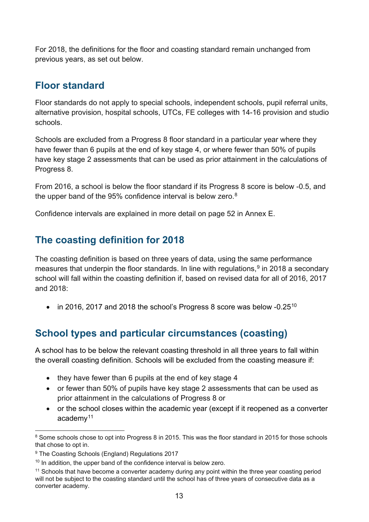For 2018, the definitions for the floor and coasting standard remain unchanged from previous years, as set out below.

### <span id="page-12-0"></span>**Floor standard**

Floor standards do not apply to special schools, independent schools, pupil referral units, alternative provision, hospital schools, UTCs, FE colleges with 14-16 provision and studio schools.

Schools are excluded from a Progress 8 floor standard in a particular year where they have fewer than 6 pupils at the end of key stage 4, or where fewer than 50% of pupils have key stage 2 assessments that can be used as prior attainment in the calculations of Progress 8.

From 2016, a school is below the floor standard if its Progress 8 score is below -0.5, and the upper band of the 95% confidence interval is below zero. $^8$  $^8$ 

Confidence intervals are explained in more detail on page 52 in Annex E.

## <span id="page-12-1"></span>**The coasting definition for 2018**

The coasting definition is based on three years of data, using the same performance measures that underpin the floor standards. In line with regulations,<sup>[9](#page-12-4)</sup> in 2018 a secondary school will fall within the coasting definition if, based on revised data for all of 2016, 2017 and 2018:

• in 2016, 2017 and 2018 the school's Progress 8 score was below  $-0.25^{10}$  $-0.25^{10}$  $-0.25^{10}$ 

## <span id="page-12-2"></span>**School types and particular circumstances (coasting)**

A school has to be below the relevant coasting threshold in all three years to fall within the overall coasting definition. Schools will be excluded from the coasting measure if:

- they have fewer than 6 pupils at the end of key stage 4
- or fewer than 50% of pupils have key stage 2 assessments that can be used as prior attainment in the calculations of Progress 8 or
- or the school closes within the academic year (except if it reopened as a converter academy $11$

<span id="page-12-3"></span><sup>&</sup>lt;sup>8</sup> Some schools chose to opt into Progress 8 in 2015. This was the floor standard in 2015 for those schools that chose to opt in.

<span id="page-12-4"></span><sup>&</sup>lt;sup>9</sup> The Coasting Schools (England) Regulations 2017

<span id="page-12-5"></span> $10$  In addition, the upper band of the confidence interval is below zero.

<span id="page-12-6"></span><sup>&</sup>lt;sup>11</sup> Schools that have become a converter academy during any point within the three year coasting period will not be subject to the coasting standard until the school has of three years of consecutive data as a converter academy.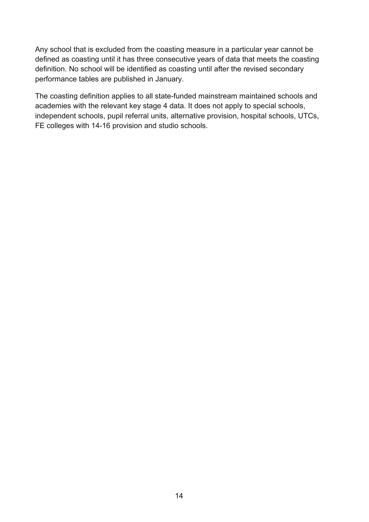Any school that is excluded from the coasting measure in a particular year cannot be defined as coasting until it has three consecutive years of data that meets the coasting definition. No school will be identified as coasting until after the revised secondary performance tables are published in January.

The coasting definition applies to all state-funded mainstream maintained schools and academies with the relevant key stage 4 data. It does not apply to special schools, independent schools, pupil referral units, alternative provision, hospital schools, UTCs, FE colleges with 14-16 provision and studio schools.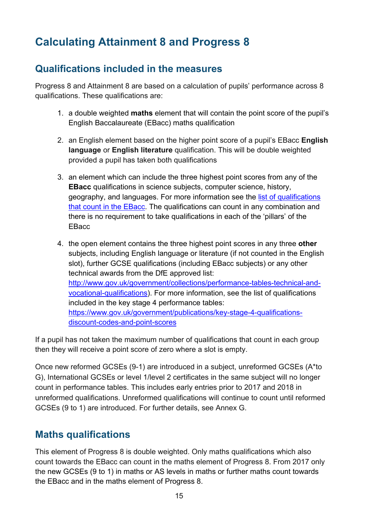# <span id="page-14-0"></span>**Calculating Attainment 8 and Progress 8**

## <span id="page-14-1"></span>**Qualifications included in the measures**

Progress 8 and Attainment 8 are based on a calculation of pupils' performance across 8 qualifications. These qualifications are:

- 1. a double weighted **maths** element that will contain the point score of the pupil's English Baccalaureate (EBacc) maths qualification
- 2. an English element based on the higher point score of a pupil's EBacc **English language** or **English literature** qualification. This will be double weighted provided a pupil has taken both qualifications
- 3. an element which can include the three highest point scores from any of the **EBacc** qualifications in science subjects, computer science, history, geography, and languages. For more information see the [list of qualifications](https://www.gov.uk/government/publications/english-baccalaureate-eligible-qualifications)  [that count in the EBacc.](https://www.gov.uk/government/publications/english-baccalaureate-eligible-qualifications) The qualifications can count in any combination and there is no requirement to take qualifications in each of the 'pillars' of the **EBacc**
- 4. the open element contains the three highest point scores in any three **other** subjects, including English language or literature (if not counted in the English slot), further GCSE qualifications (including EBacc subjects) or any other technical awards from the DfE approved list: [http://www.gov.uk/government/collections/performance-tables-technical-and](http://www.gov.uk/government/collections/performance-tables-technical-and-vocational-qualifications)[vocational-qualifications\)](http://www.gov.uk/government/collections/performance-tables-technical-and-vocational-qualifications). For more information, see the list of qualifications included in the key stage 4 performance tables: [https://www.gov.uk/government/publications/key-stage-4-qualifications](https://www.gov.uk/government/publications/key-stage-4-qualifications-discount-codes-and-point-scores)[discount-codes-and-point-scores](https://www.gov.uk/government/publications/key-stage-4-qualifications-discount-codes-and-point-scores)

If a pupil has not taken the maximum number of qualifications that count in each group then they will receive a point score of zero where a slot is empty.

Once new reformed GCSEs (9-1) are introduced in a subject, unreformed GCSEs (A\*to G), International GCSEs or level 1/level 2 certificates in the same subject will no longer count in performance tables. This includes early entries prior to 2017 and 2018 in unreformed qualifications. Unreformed qualifications will continue to count until reformed GCSEs (9 to 1) are introduced. For further details, see Annex G.

### <span id="page-14-2"></span>**Maths qualifications**

This element of Progress 8 is double weighted. Only maths qualifications which also count towards the EBacc can count in the maths element of Progress 8. From 2017 only the new GCSEs (9 to 1) in maths or AS levels in maths or further maths count towards the EBacc and in the maths element of Progress 8.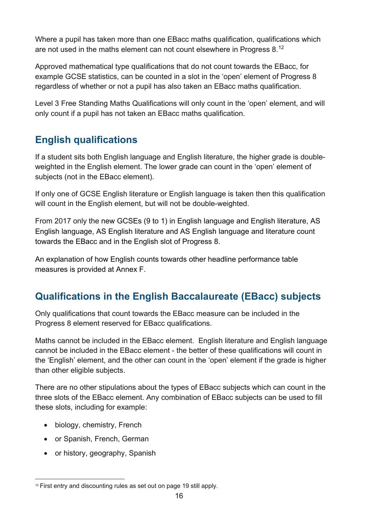Where a pupil has taken more than one EBacc maths qualification, qualifications which are not used in the maths element can not count elsewhere in Progress 8. $^{\rm 12}$  $^{\rm 12}$  $^{\rm 12}$ 

Approved mathematical type qualifications that do not count towards the EBacc, for example GCSE statistics, can be counted in a slot in the 'open' element of Progress 8 regardless of whether or not a pupil has also taken an EBacc maths qualification.

Level 3 Free Standing Maths Qualifications will only count in the 'open' element, and will only count if a pupil has not taken an EBacc maths qualification.

## <span id="page-15-0"></span>**English qualifications**

If a student sits both English language and English literature, the higher grade is doubleweighted in the English element. The lower grade can count in the 'open' element of subjects (not in the EBacc element).

If only one of GCSE English literature or English language is taken then this qualification will count in the English element, but will not be double-weighted.

From 2017 only the new GCSEs (9 to 1) in English language and English literature, AS English language, AS English literature and AS English language and literature count towards the EBacc and in the English slot of Progress 8.

An explanation of how English counts towards other headline performance table measures is provided at Annex F.

## <span id="page-15-1"></span>**Qualifications in the English Baccalaureate (EBacc) subjects**

Only qualifications that count towards the EBacc measure can be included in the Progress 8 element reserved for EBacc qualifications.

Maths cannot be included in the EBacc element. English literature and English language cannot be included in the EBacc element - the better of these qualifications will count in the 'English' element, and the other can count in the 'open' element if the grade is higher than other eligible subjects.

There are no other stipulations about the types of EBacc subjects which can count in the three slots of the EBacc element. Any combination of EBacc subjects can be used to fill these slots, including for example:

- biology, chemistry, French
- or Spanish, French, German
- or history, geography, Spanish

<span id="page-15-2"></span> <sup>12</sup> First entry and discounting rules as set out on page 19 still apply.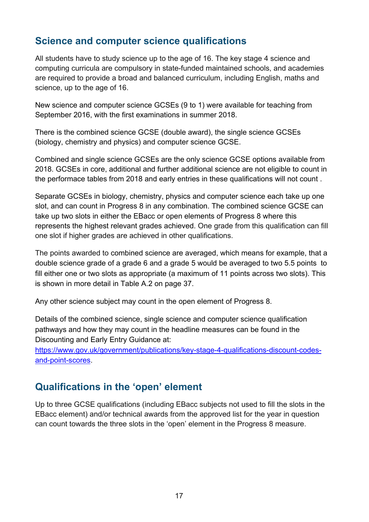## <span id="page-16-0"></span>**Science and computer science qualifications**

All students have to study science up to the age of 16. The key stage 4 science and computing curricula are compulsory in state-funded maintained schools, and academies are required to provide a broad and balanced curriculum, including English, maths and science, up to the age of 16.

New science and computer science GCSEs (9 to 1) were available for teaching from September 2016, with the first examinations in summer 2018.

There is the combined science GCSE (double award), the single science GCSEs (biology, chemistry and physics) and computer science GCSE.

Combined and single science GCSEs are the only science GCSE options available from 2018. GCSEs in core, additional and further additional science are not eligible to count in the performace tables from 2018 and early entries in these qualifications will not count .

Separate GCSEs in biology, chemistry, physics and computer science each take up one slot, and can count in Progress 8 in any combination. The combined science GCSE can take up two slots in either the EBacc or open elements of Progress 8 where this represents the highest relevant grades achieved. One grade from this qualification can fill one slot if higher grades are achieved in other qualifications.

The points awarded to combined science are averaged, which means for example, that a double science grade of a grade 6 and a grade 5 would be averaged to two 5.5 points to fill either one or two slots as appropriate (a maximum of 11 points across two slots). This is shown in more detail in Table A.2 on page 37.

Any other science subject may count in the open element of Progress 8.

Details of the combined science, single science and computer science qualification pathways and how they may count in the headline measures can be found in the Discounting and Early Entry Guidance at:

[https://www.gov.uk/government/publications/key-stage-4-qualifications-discount-codes](https://www.gov.uk/government/publications/key-stage-4-qualifications-discount-codes-and-point-scores)[and-point-scores.](https://www.gov.uk/government/publications/key-stage-4-qualifications-discount-codes-and-point-scores)

### <span id="page-16-1"></span>**Qualifications in the 'open' element**

Up to three GCSE qualifications (including EBacc subjects not used to fill the slots in the EBacc element) and/or technical awards from the approved list for the year in question can count towards the three slots in the 'open' element in the Progress 8 measure.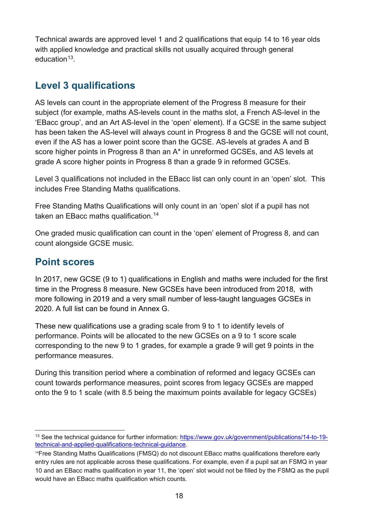Technical awards are approved level 1 and 2 qualifications that equip 14 to 16 year olds with applied knowledge and practical skills not usually acquired through general education<sup>[13](#page-17-2)</sup>

## <span id="page-17-0"></span>**Level 3 qualifications**

AS levels can count in the appropriate element of the Progress 8 measure for their subject (for example, maths AS-levels count in the maths slot, a French AS-level in the 'EBacc group', and an Art AS-level in the 'open' element). If a GCSE in the same subject has been taken the AS-level will always count in Progress 8 and the GCSE will not count, even if the AS has a lower point score than the GCSE. AS-levels at grades A and B score higher points in Progress 8 than an A\* in unreformed GCSEs, and AS levels at grade A score higher points in Progress 8 than a grade 9 in reformed GCSEs.

Level 3 qualifications not included in the EBacc list can only count in an 'open' slot. This includes Free Standing Maths qualifications.

Free Standing Maths Qualifications will only count in an 'open' slot if a pupil has not taken an EBacc maths qualification. [14](#page-17-3)

One graded music qualification can count in the 'open' element of Progress 8, and can count alongside GCSE music.

### <span id="page-17-1"></span>**Point scores**

In 2017, new GCSE (9 to 1) qualifications in English and maths were included for the first time in the Progress 8 measure. New GCSEs have been introduced from 2018, with more following in 2019 and a very small number of less-taught languages GCSEs in 2020. A full list can be found in Annex G.

These new qualifications use a grading scale from 9 to 1 to identify levels of performance. Points will be allocated to the new GCSEs on a 9 to 1 score scale corresponding to the new 9 to 1 grades, for example a grade 9 will get 9 points in the performance measures.

During this transition period where a combination of reformed and legacy GCSEs can count towards performance measures, point scores from legacy GCSEs are mapped onto the 9 to 1 scale (with 8.5 being the maximum points available for legacy GCSEs)

<span id="page-17-2"></span><sup>&</sup>lt;sup>13</sup> See the technical guidance for further information: [https://www.gov.uk/government/publications/14-to-19](https://www.gov.uk/government/publications/14-to-19-technical-and-applied-qualifications-technical-guidance) [technical-and-applied-qualifications-technical-guidance.](https://www.gov.uk/government/publications/14-to-19-technical-and-applied-qualifications-technical-guidance)

<span id="page-17-3"></span><sup>14</sup>Free Standing Maths Qualifications (FMSQ) do not discount EBacc maths qualifications therefore early entry rules are not applicable across these qualifications. For example, even if a pupil sat an FSMQ in year 10 and an EBacc maths qualification in year 11, the 'open' slot would not be filled by the FSMQ as the pupil would have an EBacc maths qualification which counts.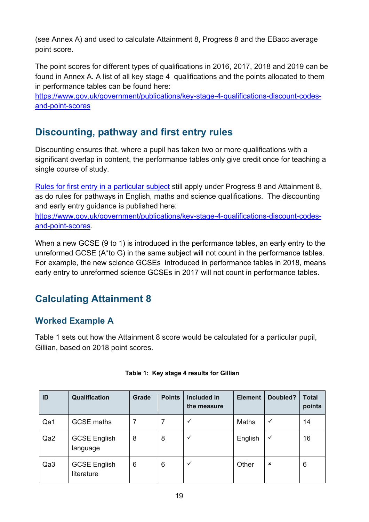(see Annex A) and used to calculate Attainment 8, Progress 8 and the EBacc average point score.

The point scores for different types of qualifications in 2016, 2017, 2018 and 2019 can be found in Annex A. A list of all key stage 4 qualifications and the points allocated to them in performance tables can be found here:

[https://www.gov.uk/government/publications/key-stage-4-qualifications-discount-codes](https://www.gov.uk/government/publications/key-stage-4-qualifications-discount-codes-and-point-scores)[and-point-scores](https://www.gov.uk/government/publications/key-stage-4-qualifications-discount-codes-and-point-scores)

## <span id="page-18-0"></span>**Discounting, pathway and first entry rules**

Discounting ensures that, where a pupil has taken two or more qualifications with a significant overlap in content, the performance tables only give credit once for teaching a single course of study.

[Rules for first entry in a particular subject](https://www.gov.uk/government/news/changes-to-early-entry-at-gcse) still apply under Progress 8 and Attainment 8, as do rules for pathways in English, maths and science qualifications. The discounting and early entry guidance is published here:

[https://www.gov.uk/government/publications/key-stage-4-qualifications-discount-codes](https://www.gov.uk/government/publications/key-stage-4-qualifications-discount-codes-and-point-scores)[and-point-scores.](https://www.gov.uk/government/publications/key-stage-4-qualifications-discount-codes-and-point-scores)

When a new GCSE (9 to 1) is introduced in the performance tables, an early entry to the unreformed GCSE (A\*to G) in the same subject will not count in the performance tables. For example, the new science GCSEs introduced in performance tables in 2018, means early entry to unreformed science GCSEs in 2017 will not count in performance tables.

## <span id="page-18-1"></span>**Calculating Attainment 8**

#### <span id="page-18-2"></span>**Worked Example A**

Table 1 sets out how the Attainment 8 score would be calculated for a particular pupil, Gillian, based on 2018 point scores.

| ID  | <b>Qualification</b>              | Grade | <b>Points</b> | Included in<br>the measure | <b>Element</b> | Doubled? | <b>Total</b><br>points |
|-----|-----------------------------------|-------|---------------|----------------------------|----------------|----------|------------------------|
| Qa1 | <b>GCSE maths</b>                 |       |               | ✓                          | Maths          |          | 14                     |
| Qa2 | <b>GCSE English</b><br>language   | 8     | 8             | ✓                          | English        | ✓        | 16                     |
| Qa3 | <b>GCSE English</b><br>literature | 6     | 6             | ✓                          | Other          | ×        | 6                      |

#### **Table 1: Key stage 4 results for Gillian**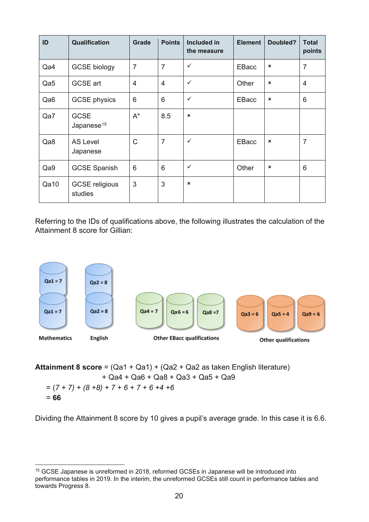| ID              | Qualification                         | Grade          | <b>Points</b>  | <b>Included in</b><br>the measure | <b>Element</b> | Doubled?       | <b>Total</b><br>points |
|-----------------|---------------------------------------|----------------|----------------|-----------------------------------|----------------|----------------|------------------------|
| Qa4             | <b>GCSE</b> biology                   | $\overline{7}$ | $\overline{7}$ | ✓                                 | EBacc          | $\pmb{\times}$ | $\overline{7}$         |
| Qa5             | <b>GCSE</b> art                       | $\overline{4}$ | $\overline{4}$ | $\checkmark$                      | Other          | $\pmb{\times}$ | $\overline{4}$         |
| Qa <sub>6</sub> | <b>GCSE</b> physics                   | 6              | 6              | $\checkmark$                      | <b>EBacc</b>   | $\pmb{\times}$ | 6                      |
| Qa7             | <b>GCSE</b><br>Japanese <sup>15</sup> | $A^*$          | 8.5            | $\pmb{\times}$                    |                |                |                        |
| Qa8             | <b>AS Level</b><br>Japanese           | C              | $\overline{7}$ | $\checkmark$                      | EBacc          | $\pmb{\times}$ | $\overline{7}$         |
| Qa9             | <b>GCSE Spanish</b>                   | 6              | 6              | $\checkmark$                      | Other          | ×              | 6                      |
| Qa10            | <b>GCSE</b> religious<br>studies      | 3              | 3              | $\mathbf x$                       |                |                |                        |

Referring to the IDs of qualifications above, the following illustrates the calculation of the Attainment 8 score for Gillian:



**Attainment 8 score** = (Qa1 + Qa1) + (Qa2 + Qa2 as taken English literature) + Qa4 + Qa6 + Qa8 + Qa3 + Qa5 + Qa9  $= (7 + 7) + (8 + 8) + 7 + 6 + 7 + 6 + 4 + 6$ = **66**

Dividing the Attainment 8 score by 10 gives a pupil's average grade. In this case it is 6.6.

<span id="page-19-0"></span> <sup>15</sup> GCSE Japanese is unreformed in 2018, reformed GCSEs in Japanese will be introduced into performance tables in 2019. In the interim, the unreformed GCSEs still count in performance tables and towards Progress 8.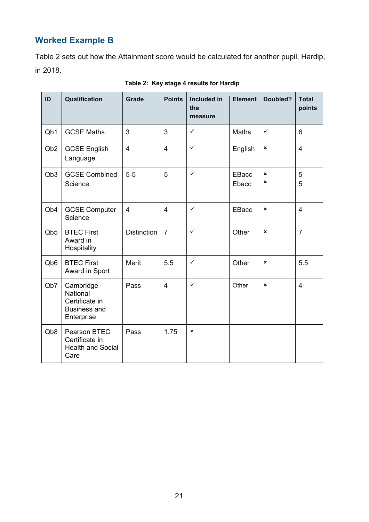## <span id="page-20-0"></span>**Worked Example B**

Table 2 sets out how the Attainment score would be calculated for another pupil, Hardip, in 2018.

| ID                          | Qualification                                                                | <b>Grade</b>       | <b>Points</b>  | <b>Included in</b><br>the<br>measure | <b>Element</b>        | Doubled?                       | <b>Total</b><br>points |
|-----------------------------|------------------------------------------------------------------------------|--------------------|----------------|--------------------------------------|-----------------------|--------------------------------|------------------------|
| Q <sub>b</sub> 1            | <b>GCSE Maths</b>                                                            | 3                  | 3              | $\checkmark$                         | Maths                 | $\checkmark$                   | 6                      |
| Q <sub>b</sub> 2            | <b>GCSE English</b><br>Language                                              | $\overline{4}$     | $\overline{4}$ | $\checkmark$                         | English               | $\pmb{\times}$                 | $\overline{4}$         |
| Qb <sub>3</sub>             | <b>GCSE Combined</b><br>Science                                              | $5-5$              | 5              | $\checkmark$                         | <b>EBacc</b><br>Ebacc | $\boldsymbol{\mathsf{x}}$<br>× | 5<br>5                 |
| Q <sub>b</sub> 4            | <b>GCSE Computer</b><br>Science                                              | $\overline{4}$     | $\overline{4}$ | $\checkmark$                         | <b>EBacc</b>          | $\pmb{\times}$                 | $\overline{4}$         |
| Q <sub>b</sub> 5            | <b>BTEC First</b><br>Award in<br>Hospitality                                 | <b>Distinction</b> | $\overline{7}$ | $\checkmark$                         | Other                 | $\pmb{\times}$                 | $\overline{7}$         |
| Q <sub>b</sub> <sub>6</sub> | <b>BTEC First</b><br>Award in Sport                                          | <b>Merit</b>       | 5.5            | $\checkmark$                         | Other                 | $\pmb{\times}$                 | 5.5                    |
| Qb7                         | Cambridge<br>National<br>Certificate in<br><b>Business and</b><br>Enterprise | Pass               | $\overline{4}$ | $\checkmark$                         | Other                 | $\boldsymbol{\mathsf{x}}$      | $\overline{4}$         |
| Q <sub>b</sub> 8            | Pearson BTEC<br>Certificate in<br><b>Health and Social</b><br>Care           | Pass               | 1.75           | ×                                    |                       |                                |                        |

#### **Table 2: Key stage 4 results for Hardip**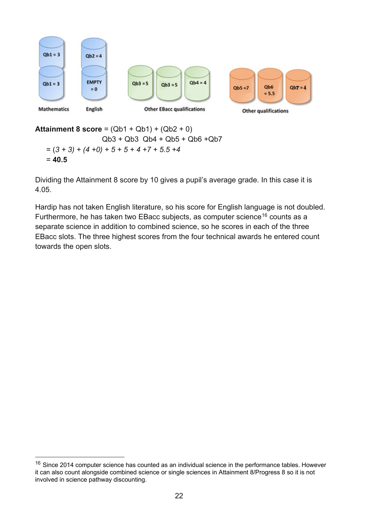

**Attainment 8 score** = (Qb1 + Qb1) + (Qb2 + 0) Qb3 + Qb3 Qb4 + Qb5 + Qb6 +Qb7  $= (3 + 3) + (4 + 0) + 5 + 5 + 4 + 7 + 5.5 + 4$ = **40.5**

Dividing the Attainment 8 score by 10 gives a pupil's average grade. In this case it is 4.05.

Hardip has not taken English literature, so his score for English language is not doubled. Furthermore, he has taken two EBacc subjects, as computer science<sup>[16](#page-21-0)</sup> counts as a separate science in addition to combined science, so he scores in each of the three EBacc slots. The three highest scores from the four technical awards he entered count towards the open slots.

<span id="page-21-0"></span> $16$  Since 2014 computer science has counted as an individual science in the performance tables. However it can also count alongside combined science or single sciences in Attainment 8/Progress 8 so it is not involved in science pathway discounting.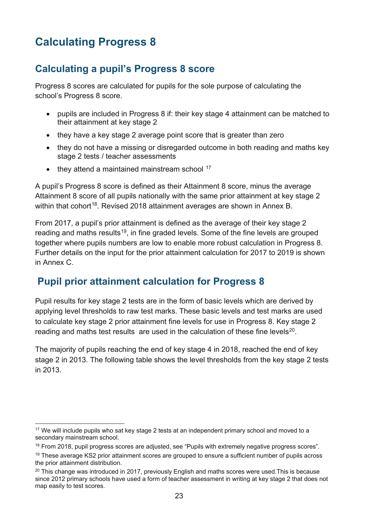# <span id="page-22-0"></span>**Calculating Progress 8**

## <span id="page-22-1"></span>**Calculating a pupil's Progress 8 score**

Progress 8 scores are calculated for pupils for the sole purpose of calculating the school's Progress 8 score.

- pupils are included in Progress 8 if: their key stage 4 attainment can be matched to their attainment at key stage 2
- they have a key stage 2 average point score that is greater than zero
- they do not have a missing or disregarded outcome in both reading and maths key stage 2 tests / teacher assessments
- $\bullet$  they attend a maintained mainstream school  $17$

A pupil's Progress 8 score is defined as their Attainment 8 score, minus the average Attainment 8 score of all pupils nationally with the same prior attainment at key stage 2 within that cohort<sup>18</sup>. Revised 2018 attainment averages are shown in Annex B.

From 2017, a pupil's prior attainment is defined as the average of their key stage 2 reading and maths results<sup>[19](#page-22-5)</sup>, in fine graded levels. Some of the fine levels are grouped together where pupils numbers are low to enable more robust calculation in Progress 8. Further details on the input for the prior attainment calculation for 2017 to 2019 is shown in Annex C.

### <span id="page-22-2"></span>**Pupil prior attainment calculation for Progress 8**

Pupil results for key stage 2 tests are in the form of basic levels which are derived by applying level thresholds to raw test marks. These basic levels and test marks are used to calculate key stage 2 prior attainment fine levels for use in Progress 8. Key stage 2 reading and maths test results are used in the calculation of these fine levels<sup>20</sup>.

The majority of pupils reaching the end of key stage 4 in 2018, reached the end of key stage 2 in 2013. The following table shows the level thresholds from the key stage 2 tests in 2013.

<span id="page-22-3"></span><sup>&</sup>lt;sup>17</sup> We will include pupils who sat key stage 2 tests at an independent primary school and moved to a secondary mainstream school.

<span id="page-22-4"></span><sup>&</sup>lt;sup>18</sup> From 2018, pupil progress scores are adjusted, see "Pupils with extremely negative progress scores".

<span id="page-22-5"></span><sup>&</sup>lt;sup>19</sup> These average KS2 prior attainment scores are grouped to ensure a sufficient number of pupils across the prior attainment distribution.

<span id="page-22-6"></span> $20$  This change was introduced in 2017, previously English and maths scores were used. This is because since 2012 primary schools have used a form of teacher assessment in writing at key stage 2 that does not map easily to test scores.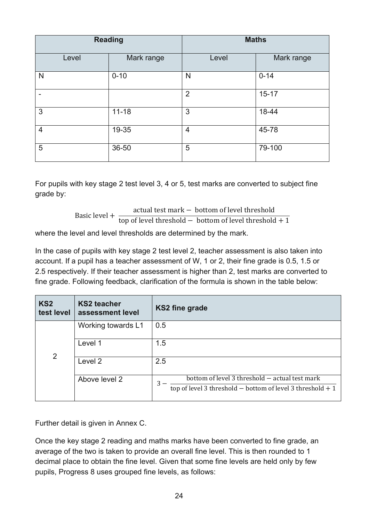|                | <b>Reading</b> | <b>Maths</b>   |            |  |
|----------------|----------------|----------------|------------|--|
| Level          | Mark range     | Level          | Mark range |  |
| N              | $0 - 10$       | N              | $0 - 14$   |  |
|                |                | $\overline{2}$ | $15 - 17$  |  |
| 3              | $11 - 18$      | 3              | 18-44      |  |
| $\overline{4}$ | 19-35          | $\overline{4}$ | 45-78      |  |
| 5              | 36-50          | 5              | 79-100     |  |

For pupils with key stage 2 test level 3, 4 or 5, test marks are converted to subject fine grade by:

> Basic level + actual test mark − bottom of level threshold top of level threshold  $-$  bottom of level threshold  $+1$

where the level and level thresholds are determined by the mark.

In the case of pupils with key stage 2 test level 2, teacher assessment is also taken into account. If a pupil has a teacher assessment of W, 1 or 2, their fine grade is 0.5, 1.5 or 2.5 respectively. If their teacher assessment is higher than 2, test marks are converted to fine grade. Following feedback, clarification of the formula is shown in the table below:

| KS <sub>2</sub><br>test level | <b>KS2 teacher</b><br>assessment level | <b>KS2 fine grade</b>                                                                                                |
|-------------------------------|----------------------------------------|----------------------------------------------------------------------------------------------------------------------|
|                               | Working towards L1                     | 0.5                                                                                                                  |
| 2                             | Level 1                                | 1.5                                                                                                                  |
|                               | Level 2                                | 2.5                                                                                                                  |
|                               | Above level 2                          | bottom of level 3 threshold - actual test mark<br>3<br>top of level 3 threshold $-$ bottom of level 3 threshold $+1$ |

Further detail is given in Annex C.

Once the key stage 2 reading and maths marks have been converted to fine grade, an average of the two is taken to provide an overall fine level. This is then rounded to 1 decimal place to obtain the fine level. Given that some fine levels are held only by few pupils, Progress 8 uses grouped fine levels, as follows: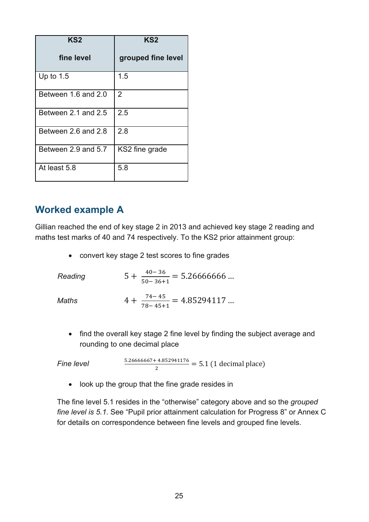| KS2                 | KS <sub>2</sub>    |
|---------------------|--------------------|
| fine level          | grouped fine level |
| Up to $1.5$         | 1.5                |
| Between 1.6 and 2.0 | $\overline{2}$     |
| Between 2.1 and 2.5 | 2.5                |
| Between 2.6 and 2.8 | 2.8                |
| Between 2.9 and 5.7 | KS2 fine grade     |
| At least 5.8        | 5.8                |

#### <span id="page-24-0"></span>**Worked example A**

Gillian reached the end of key stage 2 in 2013 and achieved key stage 2 reading and maths test marks of 40 and 74 respectively. To the KS2 prior attainment group:

• convert key stage 2 test scores to fine grades

| Reading | $5 + \frac{40 - 36}{50 - 36 + 1} = 5.26666666$ |
|---------|------------------------------------------------|
| Maths   | $4 + \frac{74 - 45}{78 - 45 + 1} = 4.85294117$ |

• find the overall key stage 2 fine level by finding the subject average and rounding to one decimal place

*Fine level*  $\frac{5.26666667 + 4.852941176}{2} = 5.1$  (1 decimal place)

• look up the group that the fine grade resides in

The fine level 5.1 resides in the "otherwise" category above and so the *grouped fine level is 5.1*. See "Pupil prior attainment calculation for Progress 8" or Annex C for details on correspondence between fine levels and grouped fine levels.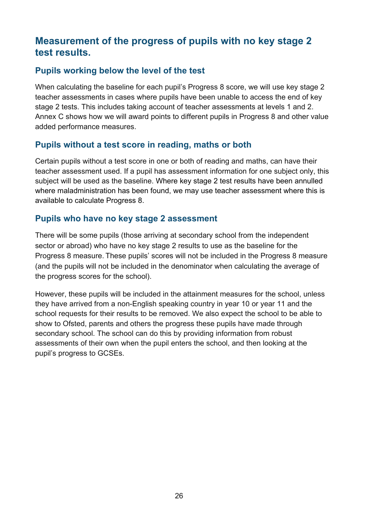#### <span id="page-25-0"></span>**Measurement of the progress of pupils with no key stage 2 test results.**

#### **Pupils working below the level of the test**

When calculating the baseline for each pupil's Progress 8 score, we will use key stage 2 teacher assessments in cases where pupils have been unable to access the end of key stage 2 tests. This includes taking account of teacher assessments at levels 1 and 2. Annex C shows how we will award points to different pupils in Progress 8 and other value added performance measures.

#### **Pupils without a test score in reading, maths or both**

Certain pupils without a test score in one or both of reading and maths, can have their teacher assessment used. If a pupil has assessment information for one subject only, this subject will be used as the baseline. Where key stage 2 test results have been annulled where maladministration has been found, we may use teacher assessment where this is available to calculate Progress 8.

#### **Pupils who have no key stage 2 assessment**

There will be some pupils (those arriving at secondary school from the independent sector or abroad) who have no key stage 2 results to use as the baseline for the Progress 8 measure. These pupils' scores will not be included in the Progress 8 measure (and the pupils will not be included in the denominator when calculating the average of the progress scores for the school).

However, these pupils will be included in the attainment measures for the school, unless they have arrived from a non-English speaking country in year 10 or year 11 and the school requests for their results to be removed. We also expect the school to be able to show to Ofsted, parents and others the progress these pupils have made through secondary school. The school can do this by providing information from robust assessments of their own when the pupil enters the school, and then looking at the pupil's progress to GCSEs.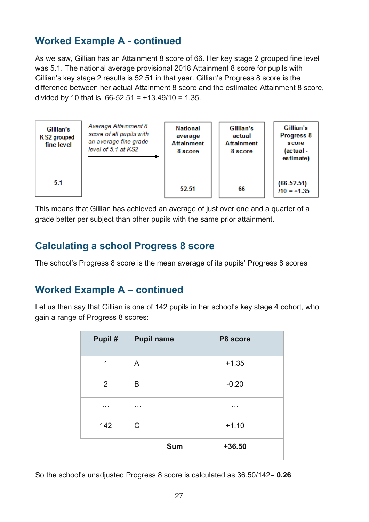## <span id="page-26-0"></span>**Worked Example A - continued**

As we saw, Gillian has an Attainment 8 score of 66. Her key stage 2 grouped fine level was 5.1. The national average provisional 2018 Attainment 8 score for pupils with Gillian's key stage 2 results is 52.51 in that year. Gillian's Progress 8 score is the difference between her actual Attainment 8 score and the estimated Attainment 8 score, divided by 10 that is,  $66-52.51 = +13.49/10 = 1.35$ .



This means that Gillian has achieved an average of just over one and a quarter of a grade better per subject than other pupils with the same prior attainment.

#### <span id="page-26-1"></span>**Calculating a school Progress 8 score**

The school's Progress 8 score is the mean average of its pupils' Progress 8 scores

#### <span id="page-26-2"></span>**Worked Example A – continued**

Let us then say that Gillian is one of 142 pupils in her school's key stage 4 cohort, who gain a range of Progress 8 scores:

| Pupil#         | <b>Pupil name</b> | P8 score |
|----------------|-------------------|----------|
| 1              | A                 | $+1.35$  |
| $\overline{2}$ | B                 | $-0.20$  |
| .              | .                 | .        |
| 142            | C                 | $+1.10$  |
|                | <b>Sum</b>        | $+36.50$ |

So the school's unadjusted Progress 8 score is calculated as 36.50/142= **0.26**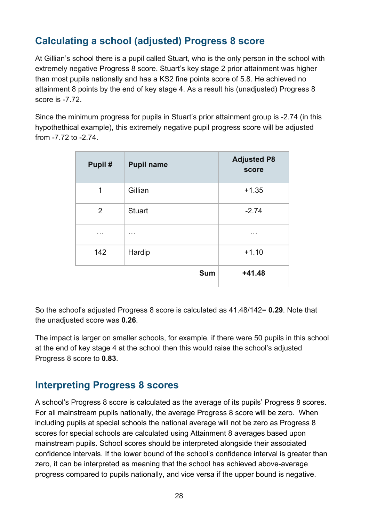## <span id="page-27-0"></span>**Calculating a school (adjusted) Progress 8 score**

At Gillian's school there is a pupil called Stuart, who is the only person in the school with extremely negative Progress 8 score. Stuart's key stage 2 prior attainment was higher than most pupils nationally and has a KS2 fine points score of 5.8. He achieved no attainment 8 points by the end of key stage 4. As a result his (unadjusted) Progress 8 score is -7.72.

Since the minimum progress for pupils in Stuart's prior attainment group is -2.74 (in this hypothethical example), this extremely negative pupil progress score will be adjusted from -7.72 to -2.74.

| Pupil# | <b>Pupil name</b> | <b>Adjusted P8</b><br>score |
|--------|-------------------|-----------------------------|
| 1      | Gillian           | $+1.35$                     |
| 2      | <b>Stuart</b>     | $-2.74$                     |
| .      | .                 | .                           |
| 142    | Hardip            | $+1.10$                     |
|        | <b>Sum</b>        | $+41.48$                    |

So the school's adjusted Progress 8 score is calculated as 41.48/142= **0.29**. Note that the unadjusted score was **0.26**.

The impact is larger on smaller schools, for example, if there were 50 pupils in this school at the end of key stage 4 at the school then this would raise the school's adjusted Progress 8 score to **0.83**.

#### <span id="page-27-1"></span>**Interpreting Progress 8 scores**

A school's Progress 8 score is calculated as the average of its pupils' Progress 8 scores. For all mainstream pupils nationally, the average Progress 8 score will be zero. When including pupils at special schools the national average will not be zero as Progress 8 scores for special schools are calculated using Attainment 8 averages based upon mainstream pupils. School scores should be interpreted alongside their associated confidence intervals. If the lower bound of the school's confidence interval is greater than zero, it can be interpreted as meaning that the school has achieved above-average progress compared to pupils nationally, and vice versa if the upper bound is negative.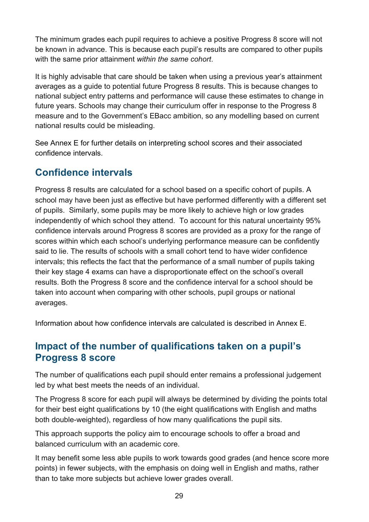The minimum grades each pupil requires to achieve a positive Progress 8 score will not be known in advance. This is because each pupil's results are compared to other pupils with the same prior attainment *within the same cohort*.

It is highly advisable that care should be taken when using a previous year's attainment averages as a guide to potential future Progress 8 results. This is because changes to national subject entry patterns and performance will cause these estimates to change in future years. Schools may change their curriculum offer in response to the Progress 8 measure and to the Government's EBacc ambition, so any modelling based on current national results could be misleading.

See Annex E for further details on interpreting school scores and their associated confidence intervals.

### <span id="page-28-0"></span>**Confidence intervals**

Progress 8 results are calculated for a school based on a specific cohort of pupils. A school may have been just as effective but have performed differently with a different set of pupils. Similarly, some pupils may be more likely to achieve high or low grades independently of which school they attend. To account for this natural uncertainty 95% confidence intervals around Progress 8 scores are provided as a proxy for the range of scores within which each school's underlying performance measure can be confidently said to lie. The results of schools with a small cohort tend to have wider confidence intervals; this reflects the fact that the performance of a small number of pupils taking their key stage 4 exams can have a disproportionate effect on the school's overall results. Both the Progress 8 score and the confidence interval for a school should be taken into account when comparing with other schools, pupil groups or national averages.

<span id="page-28-1"></span>Information about how confidence intervals are calculated is described in Annex E.

#### **Impact of the number of qualifications taken on a pupil's Progress 8 score**

The number of qualifications each pupil should enter remains a professional judgement led by what best meets the needs of an individual.

The Progress 8 score for each pupil will always be determined by dividing the points total for their best eight qualifications by 10 (the eight qualifications with English and maths both double-weighted), regardless of how many qualifications the pupil sits.

This approach supports the policy aim to encourage schools to offer a broad and balanced curriculum with an academic core.

It may benefit some less able pupils to work towards good grades (and hence score more points) in fewer subjects, with the emphasis on doing well in English and maths, rather than to take more subjects but achieve lower grades overall.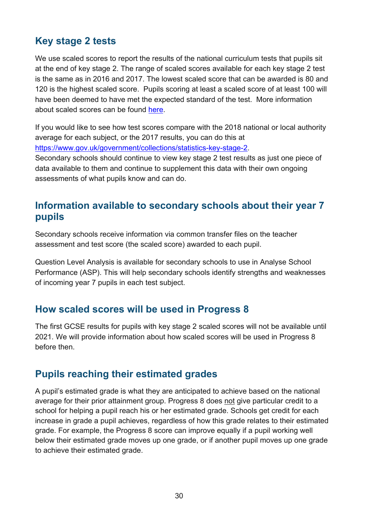## <span id="page-29-0"></span>**Key stage 2 tests**

We use scaled scores to report the results of the national curriculum tests that pupils sit at the end of key stage 2. The range of scaled scores available for each key stage 2 test is the same as in 2016 and 2017. The lowest scaled score that can be awarded is 80 and 120 is the highest scaled score. Pupils scoring at least a scaled score of at least 100 will have been deemed to have met the expected standard of the test. More information about scaled scores can be found [here.](https://www.gov.uk/guidance/scaled-scores-at-key-stage-2)

If you would like to see how test scores compare with the 2018 national or local authority average for each subject, or the 2017 results, you can do this at [https://www.gov.uk/government/collections/statistics-key-stage-2.](https://www.gov.uk/government/collections/statistics-key-stage-2)

Secondary schools should continue to view key stage 2 test results as just one piece of data available to them and continue to supplement this data with their own ongoing assessments of what pupils know and can do.

#### <span id="page-29-1"></span>**Information available to secondary schools about their year 7 pupils**

Secondary schools receive information via common transfer files on the teacher assessment and test score (the scaled score) awarded to each pupil.

Question Level Analysis is available for secondary schools to use in Analyse School Performance (ASP). This will help secondary schools identify strengths and weaknesses of incoming year 7 pupils in each test subject.

#### <span id="page-29-2"></span>**How scaled scores will be used in Progress 8**

The first GCSE results for pupils with key stage 2 scaled scores will not be available until 2021. We will provide information about how scaled scores will be used in Progress 8 before then.

#### <span id="page-29-3"></span>**Pupils reaching their estimated grades**

A pupil's estimated grade is what they are anticipated to achieve based on the national average for their prior attainment group. Progress 8 does not give particular credit to a school for helping a pupil reach his or her estimated grade. Schools get credit for each increase in grade a pupil achieves, regardless of how this grade relates to their estimated grade. For example, the Progress 8 score can improve equally if a pupil working well below their estimated grade moves up one grade, or if another pupil moves up one grade to achieve their estimated grade.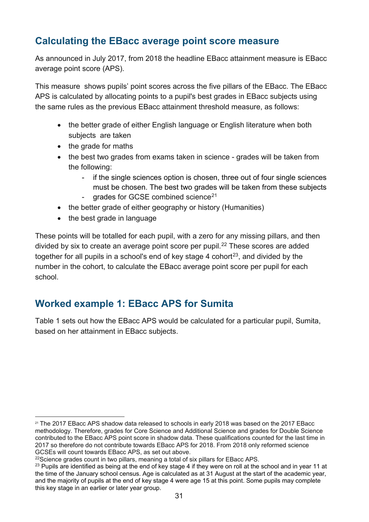## <span id="page-30-0"></span>**Calculating the EBacc average point score measure**

As announced in July 2017, from 2018 the headline EBacc attainment measure is EBacc average point score (APS).

This measure shows pupils' point scores across the five pillars of the EBacc. The EBacc APS is calculated by allocating points to a pupil's best grades in EBacc subjects using the same rules as the previous EBacc attainment threshold measure, as follows:

- the better grade of either English language or English literature when both subjects are taken
- the grade for maths
- the best two grades from exams taken in science grades will be taken from the following:
	- if the single sciences option is chosen, three out of four single sciences must be chosen. The best two grades will be taken from these subjects
	- grades for GCSE combined science $21$
- the better grade of either geography or history (Humanities)
- the best grade in language

These points will be totalled for each pupil, with a zero for any missing pillars, and then divided by six to create an average point score per pupil.<sup>[22](#page-30-4)</sup> These scores are added together for all pupils in a school's end of key stage 4 cohort<sup>23</sup>, and divided by the number in the cohort, to calculate the EBacc average point score per pupil for each school.

### <span id="page-30-1"></span>**Worked example 1: EBacc APS for Sumita**

<span id="page-30-2"></span>Table 1 sets out how the EBacc APS would be calculated for a particular pupil, Sumita, based on her attainment in EBacc subjects.

<span id="page-30-3"></span><sup>&</sup>lt;sup>21</sup> The 2017 EBacc APS shadow data released to schools in early 2018 was based on the 2017 EBacc methodology. Therefore, grades for Core Science and Additional Science and grades for Double Science contributed to the EBacc APS point score in shadow data. These qualifications counted for the last time in 2017 so therefore do not contribute towards EBacc APS for 2018. From 2018 only reformed science<br>GCSEs will count towards EBacc APS, as set out above.

<sup>&</sup>lt;sup>22</sup>Science grades count in two pillars, meaning a total of six pillars for EBacc APS.

<span id="page-30-5"></span><span id="page-30-4"></span><sup>&</sup>lt;sup>23</sup> Pupils are identified as being at the end of key stage 4 if they were on roll at the school and in year 11 at the time of the January school census. Age is calculated as at 31 August at the start of the academic year, and the majority of pupils at the end of key stage 4 were age 15 at this point. Some pupils may complete this key stage in an earlier or later year group.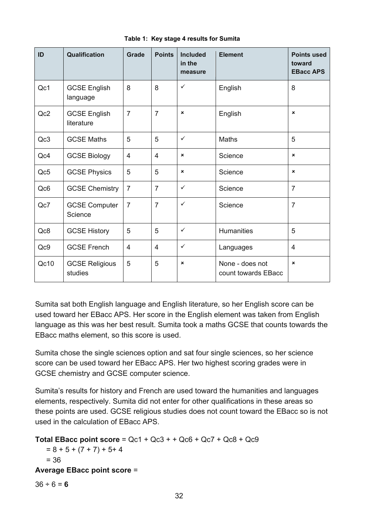| ID              | Qualification                     | Grade          | <b>Points</b>  | <b>Included</b><br>in the<br>measure | <b>Element</b>                         | <b>Points used</b><br>toward<br><b>EBacc APS</b> |
|-----------------|-----------------------------------|----------------|----------------|--------------------------------------|----------------------------------------|--------------------------------------------------|
| Qc1             | <b>GCSE English</b><br>language   | 8              | 8              | ✓                                    | English                                | 8                                                |
| Qc2             | <b>GCSE English</b><br>literature | $\overline{7}$ | $\overline{7}$ | $\boldsymbol{\mathsf{x}}$            | English                                | $\boldsymbol{\mathsf{x}}$                        |
| Qc3             | <b>GCSE Maths</b>                 | 5              | 5              | $\checkmark$                         | Maths                                  | 5                                                |
| Qc4             | <b>GCSE Biology</b>               | $\overline{4}$ | $\overline{4}$ | ×                                    | Science                                | $\pmb{\times}$                                   |
| Qc5             | <b>GCSE Physics</b>               | 5              | 5              | $\pmb{\times}$                       | Science                                | $\pmb{\times}$                                   |
| Qc <sub>6</sub> | <b>GCSE Chemistry</b>             | $\overline{7}$ | $\overline{7}$ | $\checkmark$                         | Science                                | $\overline{7}$                                   |
| Qc7             | <b>GCSE Computer</b><br>Science   | $\overline{7}$ | $\overline{7}$ | $\checkmark$                         | Science                                | $\overline{7}$                                   |
| Qc8             | <b>GCSE History</b>               | 5              | 5              | $\checkmark$                         | <b>Humanities</b>                      | 5                                                |
| Qc9             | <b>GCSE French</b>                | $\overline{4}$ | 4              | $\checkmark$                         | Languages                              | $\overline{4}$                                   |
| Qc10            | <b>GCSE Religious</b><br>studies  | 5              | 5              | $\pmb{\times}$                       | None - does not<br>count towards EBacc | $\pmb{\times}$                                   |

**Table 1: Key stage 4 results for Sumita**

Sumita sat both English language and English literature, so her English score can be used toward her EBacc APS. Her score in the English element was taken from English language as this was her best result. Sumita took a maths GCSE that counts towards the EBacc maths element, so this score is used.

Sumita chose the single sciences option and sat four single sciences, so her science score can be used toward her EBacc APS. Her two highest scoring grades were in GCSE chemistry and GCSE computer science.

Sumita's results for history and French are used toward the humanities and languages elements, respectively. Sumita did not enter for other qualifications in these areas so these points are used. GCSE religious studies does not count toward the EBacc so is not used in the calculation of EBacc APS.

```
Total EBacc point score = Qc1 + Qc3 + + Qc6 + Qc7 + Qc8 + Qc9 
   = 8 + 5 + (7 + 7) + 5 + 4= 36Average EBacc point score =
36 \div 6 = 6
```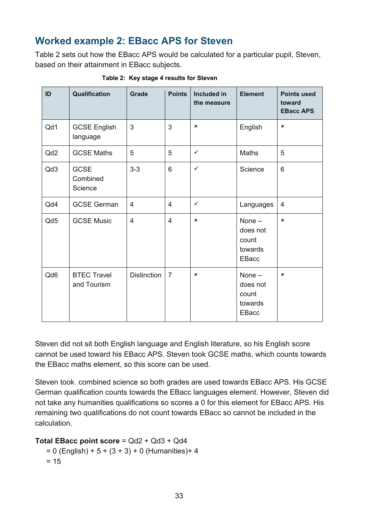## <span id="page-32-0"></span>**Worked example 2: EBacc APS for Steven**

Table 2 sets out how the EBacc APS would be calculated for a particular pupil, Steven, based on their attainment in EBacc subjects.

<span id="page-32-1"></span>

| ID              | Qualification                      | Grade              | <b>Points</b>  | <b>Included in</b><br>the measure | <b>Element</b>                                           | <b>Points used</b><br>toward<br><b>EBacc APS</b> |
|-----------------|------------------------------------|--------------------|----------------|-----------------------------------|----------------------------------------------------------|--------------------------------------------------|
| Qd1             | <b>GCSE English</b><br>language    | 3                  | 3              | $\boldsymbol{\mathsf{x}}$         | English                                                  | $\pmb{\times}$                                   |
| Qd <sub>2</sub> | <b>GCSE Maths</b>                  | 5                  | 5              | $\checkmark$                      | Maths                                                    | 5                                                |
| Qd3             | <b>GCSE</b><br>Combined<br>Science | $3-3$              | 6              | $\checkmark$                      | Science                                                  | 6                                                |
| Qd4             | <b>GCSE German</b>                 | $\overline{4}$     | $\overline{4}$ | $\checkmark$                      | Languages                                                | 4                                                |
| Qd5             | <b>GCSE Music</b>                  | 4                  | $\overline{4}$ | $\boldsymbol{\mathsf{x}}$         | None $-$<br>does not<br>count<br>towards<br><b>EBacc</b> | $\pmb{\times}$                                   |
| Qd6             | <b>BTEC Travel</b><br>and Tourism  | <b>Distinction</b> | $\overline{7}$ | $\pmb{\times}$                    | None-<br>does not<br>count<br>towards<br>EBacc           | ×                                                |

**Table 2: Key stage 4 results for Steven**

Steven did not sit both English language and English literature, so his English score cannot be used toward his EBacc APS. Steven took GCSE maths, which counts towards the EBacc maths element, so this score can be used.

Steven took combined science so both grades are used towards EBacc APS. His GCSE German qualification counts towards the EBacc languages element. However, Steven did not take any humanities qualifications so scores a 0 for this element for EBacc APS. His remaining two qualifications do not count towards EBacc so cannot be included in the calculation.

#### **Total EBacc point score** = Qd2 + Qd3 + Qd4

 $= 0$  (English) + 5 + (3 + 3) + 0 (Humanities) + 4  $= 15$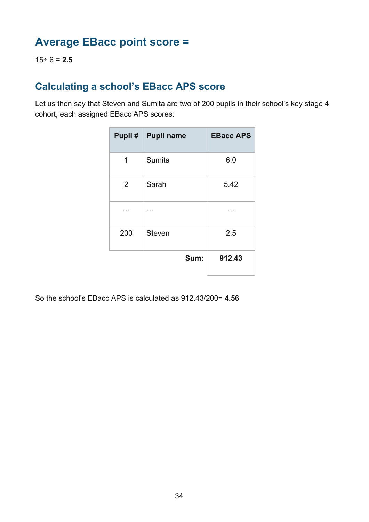# <span id="page-33-0"></span>**Average EBacc point score =**

15÷ 6 = **2.5**

## <span id="page-33-1"></span>**Calculating a school's EBacc APS score**

Let us then say that Steven and Sumita are two of 200 pupils in their school's key stage 4 cohort, each assigned EBacc APS scores:

|                | Pupil #   Pupil name | <b>EBacc APS</b> |
|----------------|----------------------|------------------|
| 1              | Sumita               | 6.0              |
| $\overline{2}$ | Sarah                | 5.42             |
|                |                      |                  |
| 200            | <b>Steven</b>        | 2.5              |
|                | Sum:                 | 912.43           |

So the school's EBacc APS is calculated as 912.43/200= **4.56**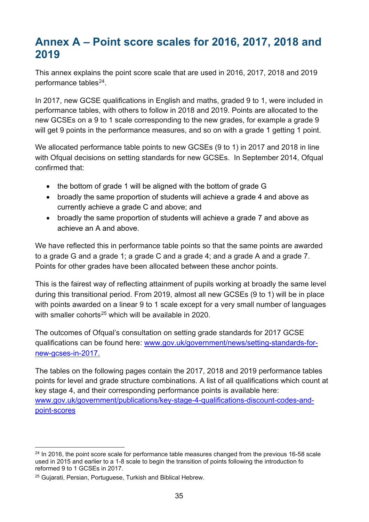# <span id="page-34-0"></span>**Annex A – Point score scales for 2016, 2017, 2018 and 2019**

This annex explains the point score scale that are used in 2016, 2017, 2018 and 2019 performance tables<sup>24</sup>.

In 2017, new GCSE qualifications in English and maths, graded 9 to 1, were included in performance tables, with others to follow in 2018 and 2019. Points are allocated to the new GCSEs on a 9 to 1 scale corresponding to the new grades, for example a grade 9 will get 9 points in the performance measures, and so on with a grade 1 getting 1 point.

We allocated performance table points to new GCSEs (9 to 1) in 2017 and 2018 in line with Ofqual decisions on setting standards for new GCSEs. In September 2014, Ofqual confirmed that:

- the bottom of grade 1 will be aligned with the bottom of grade G
- broadly the same proportion of students will achieve a grade 4 and above as currently achieve a grade C and above; and
- broadly the same proportion of students will achieve a grade 7 and above as achieve an A and above.

We have reflected this in performance table points so that the same points are awarded to a grade G and a grade 1; a grade C and a grade 4; and a grade A and a grade 7. Points for other grades have been allocated between these anchor points.

This is the fairest way of reflecting attainment of pupils working at broadly the same level during this transitional period. From 2019, almost all new GCSEs (9 to 1) will be in place with points awarded on a linear 9 to 1 scale except for a very small number of languages with smaller cohorts<sup>[25](#page-34-2)</sup> which will be available in 2020.

The outcomes of Ofqual's consultation on setting grade standards for 2017 GCSE qualifications can be found here: [www.gov.uk/government/news/setting-standards-for](http://www.gov.uk/government/news/setting-standards-for-new-gcses-in-2017)[new-gcses-in-2017.](http://www.gov.uk/government/news/setting-standards-for-new-gcses-in-2017)

The tables on the following pages contain the 2017, 2018 and 2019 performance tables points for level and grade structure combinations. A list of all qualifications which count at key stage 4, and their corresponding performance points is available here: [www.gov.uk/government/publications/key-stage-4-qualifications-discount-codes-and](http://www.gov.uk/government/publications/key-stage-4-qualifications-discount-codes-and-point-scores)[point-scores](http://www.gov.uk/government/publications/key-stage-4-qualifications-discount-codes-and-point-scores)

<span id="page-34-1"></span> $24$  In 2016, the point score scale for performance table measures changed from the previous 16-58 scale used in 2015 and earlier to a 1-8 scale to begin the transition of points following the introduction fo reformed 9 to 1 GCSEs in 2017.

<span id="page-34-2"></span><sup>25</sup> Gujarati, Persian, Portuguese, Turkish and Biblical Hebrew.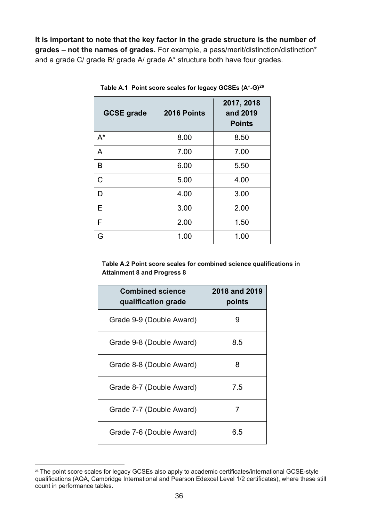**It is important to note that the key factor in the grade structure is the number of grades – not the names of grades.** For example, a pass/merit/distinction/distinction\* and a grade C/ grade B/ grade A/ grade A\* structure both have four grades.

| <b>GCSE grade</b> | 2016 Points | 2017, 2018<br>and 2019<br><b>Points</b> |
|-------------------|-------------|-----------------------------------------|
| $A^*$             | 8.00        | 8.50                                    |
| A                 | 7.00        | 7.00                                    |
| B                 | 6.00        | 5.50                                    |
| $\mathsf C$       | 5.00        | 4.00                                    |
| D                 | 4.00        | 3.00                                    |
| Е                 | 3.00        | 2.00                                    |
| F                 | 2.00        | 1.50                                    |
| G                 | 1.00        | 1.00                                    |

<span id="page-35-0"></span>**Table A.1 Point score scales for legacy GCSEs (A\*-G)[26](#page-35-1)**

**Table A.2 Point score scales for combined science qualifications in Attainment 8 and Progress 8**

| <b>Combined science</b><br>qualification grade | <b>2018 and 2019</b><br>points |
|------------------------------------------------|--------------------------------|
| Grade 9-9 (Double Award)                       | 9                              |
| Grade 9-8 (Double Award)                       | 8.5                            |
| Grade 8-8 (Double Award)                       | 8                              |
| Grade 8-7 (Double Award)                       | 7.5                            |
| Grade 7-7 (Double Award)                       | 7                              |
| Grade 7-6 (Double Award)                       | 6.5                            |

<span id="page-35-1"></span> <sup>26</sup> The point score scales for legacy GCSEs also apply to academic certificates/international GCSE-style qualifications (AQA, Cambridge International and Pearson Edexcel Level 1/2 certificates), where these still count in performance tables.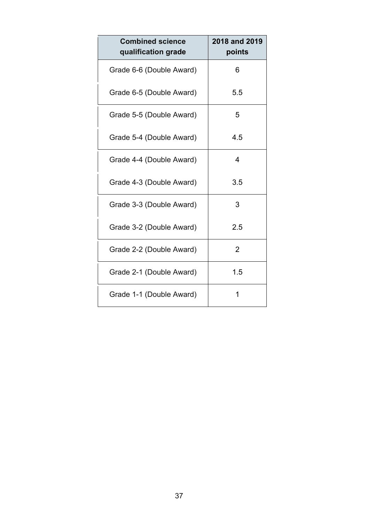| <b>Combined science</b><br>qualification grade | 2018 and 2019<br>points |
|------------------------------------------------|-------------------------|
| Grade 6-6 (Double Award)                       | 6                       |
| Grade 6-5 (Double Award)                       | 5.5                     |
| Grade 5-5 (Double Award)                       | 5                       |
| Grade 5-4 (Double Award)                       | 4.5                     |
| Grade 4-4 (Double Award)                       | 4                       |
| Grade 4-3 (Double Award)                       | 3.5                     |
| Grade 3-3 (Double Award)                       | 3                       |
| Grade 3-2 (Double Award)                       | 2.5                     |
| Grade 2-2 (Double Award)                       | $\overline{2}$          |
| Grade 2-1 (Double Award)                       | 1.5                     |
| Grade 1-1 (Double Award)                       | 1                       |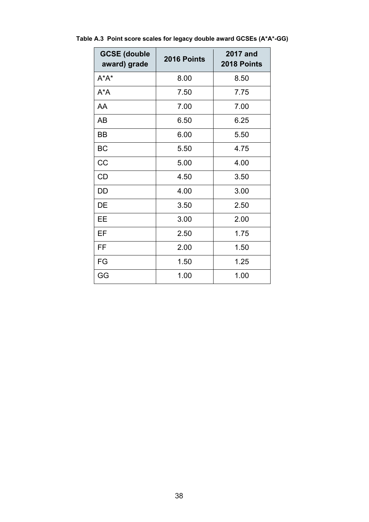| <b>GCSE (double</b><br>award) grade | 2016 Points | <b>2017 and</b><br>2018 Points |
|-------------------------------------|-------------|--------------------------------|
| $A^*A^*$                            | 8.00        | 8.50                           |
| $A^*A$                              | 7.50        | 7.75                           |
| AA                                  | 7.00        | 7.00                           |
| AB                                  | 6.50        | 6.25                           |
| BB                                  | 6.00        | 5.50                           |
| <b>BC</b>                           | 5.50        | 4.75                           |
| CC                                  | 5.00        | 4.00                           |
| CD                                  | 4.50        | 3.50                           |
| DD                                  | 4.00        | 3.00                           |
| DE                                  | 3.50        | 2.50                           |
| EЕ                                  | 3.00        | 2.00                           |
| EF                                  | 2.50        | 1.75                           |
| FF                                  | 2.00        | 1.50                           |
| FG                                  | 1.50        | 1.25                           |
| GG                                  | 1.00        | 1.00                           |

<span id="page-37-0"></span>**Table A.3 Point score scales for legacy double award GCSEs (A\*A\*-GG)**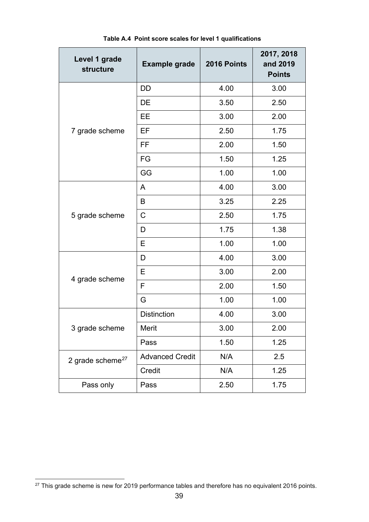<span id="page-38-0"></span>

| Level 1 grade<br>structure   | <b>Example grade</b>   | 2016 Points | 2017, 2018<br>and 2019<br><b>Points</b> |
|------------------------------|------------------------|-------------|-----------------------------------------|
|                              | <b>DD</b>              | 4.00        | 3.00                                    |
|                              | DE                     | 3.50        | 2.50                                    |
|                              | EE                     | 3.00        | 2.00                                    |
| 7 grade scheme               | EF                     | 2.50        | 1.75                                    |
|                              | <b>FF</b>              | 2.00        | 1.50                                    |
|                              | FG                     | 1.50        | 1.25                                    |
|                              | GG                     | 1.00        | 1.00                                    |
|                              | A                      | 4.00        | 3.00                                    |
|                              | B                      | 3.25        | 2.25                                    |
| 5 grade scheme               | $\mathsf C$            | 2.50        | 1.75                                    |
|                              | D                      | 1.75        | 1.38                                    |
|                              | Е                      | 1.00        | 1.00                                    |
|                              | D                      | 4.00        | 3.00                                    |
|                              | E                      | 3.00        | 2.00                                    |
| 4 grade scheme               | F                      | 2.00        | 1.50                                    |
|                              | G                      | 1.00        | 1.00                                    |
|                              | <b>Distinction</b>     | 4.00        | 3.00                                    |
| 3 grade scheme               | Merit                  | 3.00        | 2.00                                    |
|                              | Pass                   | 1.50        | 1.25                                    |
| 2 grade scheme <sup>27</sup> | <b>Advanced Credit</b> | N/A         | 2.5                                     |
|                              | Credit                 | N/A         | 1.25                                    |
| Pass only                    | Pass                   | 2.50        | 1.75                                    |

**Table A.4 Point score scales for level 1 qualifications**

<span id="page-38-1"></span><sup>&</sup>lt;sup>27</sup> This grade scheme is new for 2019 performance tables and therefore has no equivalent 2016 points.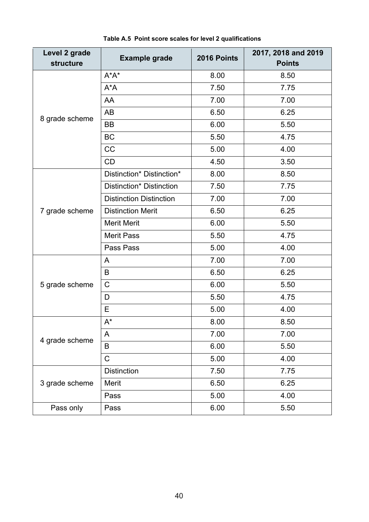<span id="page-39-0"></span>

| Level 2 grade<br><b>structure</b> | <b>Example grade</b>           | 2016 Points | 2017, 2018 and 2019<br><b>Points</b> |
|-----------------------------------|--------------------------------|-------------|--------------------------------------|
|                                   | $A^*A^*$                       | 8.00        | 8.50                                 |
|                                   | $A^*A$                         | 7.50        | 7.75                                 |
|                                   | AA                             | 7.00        | 7.00                                 |
| 8 grade scheme                    | AB                             | 6.50        | 6.25                                 |
|                                   | <b>BB</b>                      | 6.00        | 5.50                                 |
|                                   | <b>BC</b>                      | 5.50        | 4.75                                 |
|                                   | CC                             | 5.00        | 4.00                                 |
|                                   | CD                             | 4.50        | 3.50                                 |
|                                   | Distinction* Distinction*      | 8.00        | 8.50                                 |
|                                   | Distinction* Distinction       | 7.50        | 7.75                                 |
|                                   | <b>Distinction Distinction</b> | 7.00        | 7.00                                 |
| 7 grade scheme                    | <b>Distinction Merit</b>       | 6.50        | 6.25                                 |
|                                   | <b>Merit Merit</b>             | 6.00        | 5.50                                 |
|                                   | <b>Merit Pass</b>              | 5.50        | 4.75                                 |
|                                   | Pass Pass                      | 5.00        | 4.00                                 |
|                                   | A                              | 7.00        | 7.00                                 |
|                                   | B                              | 6.50        | 6.25                                 |
| 5 grade scheme                    | $\mathsf C$                    | 6.00        | 5.50                                 |
|                                   | D                              | 5.50        | 4.75                                 |
|                                   | E                              | 5.00        | 4.00                                 |
|                                   | $A^*$                          | 8.00        | 8.50                                 |
| 4 grade scheme                    | A                              | 7.00        | 7.00                                 |
|                                   | B                              | 6.00        | 5.50                                 |
|                                   | $\mathsf C$                    | 5.00        | 4.00                                 |
|                                   | <b>Distinction</b>             | 7.50        | 7.75                                 |
| 3 grade scheme                    | Merit                          | 6.50        | 6.25                                 |
|                                   | Pass                           | 5.00        | 4.00                                 |
| Pass only                         | Pass                           | 6.00        | 5.50                                 |

**Table A.5 Point score scales for level 2 qualifications**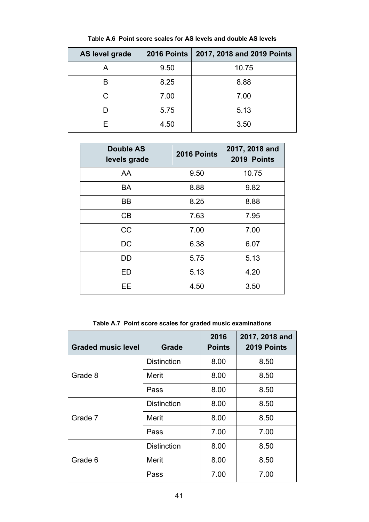<span id="page-40-0"></span>

| <b>AS level grade</b> | <b>2016 Points</b> | 2017, 2018 and 2019 Points |
|-----------------------|--------------------|----------------------------|
| A                     | 9.50               | 10.75                      |
| R                     | 8.25               | 8.88                       |
| С                     | 7.00               | 7.00                       |
|                       | 5.75               | 5.13                       |
| F                     | 4.50               | 3.50                       |

**Table A.6 Point score scales for AS levels and double AS levels**

| <b>Double AS</b><br>levels grade | 2016 Points | 2017, 2018 and<br>2019 Points |
|----------------------------------|-------------|-------------------------------|
| AA                               | 9.50        | 10.75                         |
| <b>BA</b>                        | 8.88        | 9.82                          |
| <b>BB</b>                        | 8.25        | 8.88                          |
| CB                               | 7.63        | 7.95                          |
| CC                               | 7.00        | 7.00                          |
| DC                               | 6.38        | 6.07                          |
| DD                               | 5.75        | 5.13                          |
| ED                               | 5.13        | 4.20                          |
| FF                               | 4.50        | 3.50                          |

**Table A.7 Point score scales for graded music examinations**

<span id="page-40-1"></span>

| <b>Graded music level</b> | <b>Grade</b>       | 2016<br><b>Points</b> | 2017, 2018 and<br>2019 Points |
|---------------------------|--------------------|-----------------------|-------------------------------|
|                           | <b>Distinction</b> | 8.00                  | 8.50                          |
| Grade 8                   | Merit              | 8.00                  | 8.50                          |
|                           | Pass               | 8.00                  | 8.50                          |
| Grade 7                   | <b>Distinction</b> | 8.00                  | 8.50                          |
|                           | Merit              | 8.00                  | 8.50                          |
|                           | Pass               | 7.00                  | 7.00                          |
|                           | <b>Distinction</b> | 8.00                  | 8.50                          |
| Grade 6                   | Merit              | 8.00                  | 8.50                          |
|                           | Pass               | 7.00                  | 7.00                          |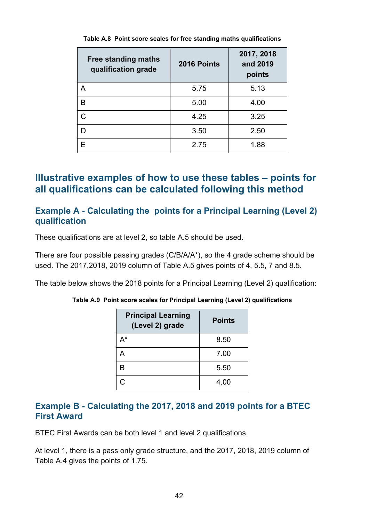<span id="page-41-3"></span>

| <b>Free standing maths</b><br>qualification grade | 2016 Points | 2017, 2018<br>and 2019<br>points |
|---------------------------------------------------|-------------|----------------------------------|
| A                                                 | 5.75        | 5.13                             |
| B                                                 | 5.00        | 4.00                             |
| C.                                                | 4.25        | 3.25                             |
| D                                                 | 3.50        | 2.50                             |
| F                                                 | 2.75        | 1.88                             |

**Table A.8 Point score scales for free standing maths qualifications**

#### <span id="page-41-0"></span>**Illustrative examples of how to use these tables – points for all qualifications can be calculated following this method**

#### <span id="page-41-1"></span>**Example A - Calculating the points for a Principal Learning (Level 2) qualification**

These qualifications are at level 2, so table A.5 should be used.

There are four possible passing grades (C/B/A/A\*), so the 4 grade scheme should be used. The 2017,2018, 2019 column of Table A.5 gives points of 4, 5.5, 7 and 8.5.

<span id="page-41-4"></span>The table below shows the 2018 points for a Principal Learning (Level 2) qualification:

| <b>Principal Learning</b><br>(Level 2) grade | <b>Points</b> |
|----------------------------------------------|---------------|
| A*                                           | 8.50          |
| д                                            | 7.00          |
| B                                            | 5.50          |
| C                                            | 4.00          |

**Table A.9 Point score scales for Principal Learning (Level 2) qualifications**

#### <span id="page-41-2"></span>**Example B - Calculating the 2017, 2018 and 2019 points for a BTEC First Award**

BTEC First Awards can be both level 1 and level 2 qualifications.

At level 1, there is a pass only grade structure, and the 2017, 2018, 2019 column of Table A.4 gives the points of 1.75.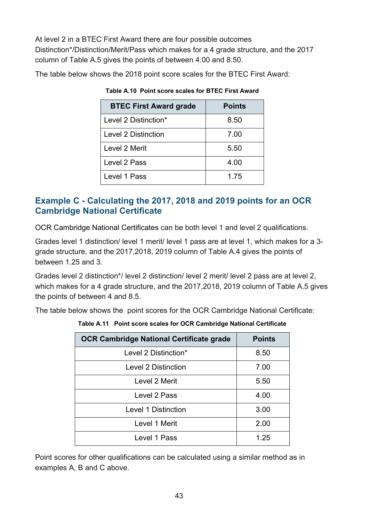At level 2 in a BTEC First Award there are four possible outcomes Distinction\*/Distinction/Merit/Pass which makes for a 4 grade structure, and the 2017 column of Table A.5 gives the points of between 4.00 and 8.50.

<span id="page-42-1"></span>The table below shows the 2018 point score scales for the BTEC First Award:

| <b>BTEC First Award grade</b> | <b>Points</b> |
|-------------------------------|---------------|
| Level 2 Distinction*          | 8.50          |
| <b>Level 2 Distinction</b>    | 7.00          |
| Level 2 Merit                 | 5.50          |
| Level 2 Pass                  | 4.00          |
| Level 1 Pass                  | 1.75          |

**Table A.10 Point score scales for BTEC First Award**

#### <span id="page-42-0"></span>**Example C - Calculating the 2017, 2018 and 2019 points for an OCR Cambridge National Certificate**

OCR Cambridge National Certificates can be both level 1 and level 2 qualifications.

Grades level 1 distinction/ level 1 merit/ level 1 pass are at level 1, which makes for a 3 grade structure, and the 2017,2018, 2019 column of Table A.4 gives the points of between 1.25 and 3.

Grades level 2 distinction\*/ level 2 distinction/ level 2 merit/ level 2 pass are at level 2, which makes for a 4 grade structure, and the 2017,2018, 2019 column of Table A.5 gives the points of between 4 and 8.5.

<span id="page-42-2"></span>The table below shows the point scores for the OCR Cambridge National Certificate:

| <b>OCR Cambridge National Certificate grade</b> | <b>Points</b> |
|-------------------------------------------------|---------------|
| Level 2 Distinction*                            | 8.50          |
| <b>Level 2 Distinction</b>                      | 7.00          |
| Level 2 Merit                                   | 5.50          |
| Level 2 Pass                                    | 4.00          |
| <b>Level 1 Distinction</b>                      | 3.00          |
| Level 1 Merit                                   | 2.00          |
| Level 1 Pass                                    | 1.25          |

**Table A.11 Point score scales for OCR Cambridge National Certificate**

Point scores for other qualifications can be calculated using a similar method as in examples A, B and C above.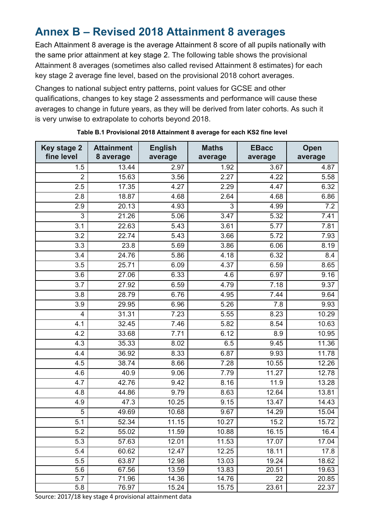## <span id="page-43-0"></span>**Annex B – Revised 2018 Attainment 8 averages**

Each Attainment 8 average is the average Attainment 8 score of all pupils nationally with the same prior attainment at key stage 2. The following table shows the provisional Attainment 8 averages (sometimes also called revised Attainment 8 estimates) for each key stage 2 average fine level, based on the provisional 2018 cohort averages.

Changes to national subject entry patterns, point values for GCSE and other qualifications, changes to key stage 2 assessments and performance will cause these averages to change in future years, as they will be derived from later cohorts. As such it is very unwise to extrapolate to cohorts beyond 2018.

<span id="page-43-1"></span>

| <b>Key stage 2</b><br>fine level | <b>Attainment</b><br>8 average | <b>English</b><br>average | <b>Maths</b><br>average | <b>EBacc</b><br>average | Open<br>average |
|----------------------------------|--------------------------------|---------------------------|-------------------------|-------------------------|-----------------|
| 1.5                              | 13.44                          | 2.97                      | 1.92                    | 3.67                    | 4.87            |
| $\overline{2}$                   | 15.63                          | 3.56                      | 2.27                    | 4.22                    | 5.58            |
| 2.5                              | 17.35                          | 4.27                      | 2.29                    | 4.47                    | 6.32            |
| 2.8                              | 18.87                          | 4.68                      | 2.64                    | 4.68                    | 6.86            |
| 2.9                              | 20.13                          | 4.93                      | 3                       | 4.99                    | 7.2             |
| 3                                | 21.26                          | 5.06                      | 3.47                    | 5.32                    | 7.41            |
| 3.1                              | 22.63                          | 5.43                      | 3.61                    | 5.77                    | 7.81            |
| 3.2                              | 22.74                          | 5.43                      | 3.66                    | 5.72                    | 7.93            |
| 3.3                              | 23.8                           | 5.69                      | 3.86                    | 6.06                    | 8.19            |
| 3.4                              | 24.76                          | 5.86                      | 4.18                    | 6.32                    | 8.4             |
| 3.5                              | 25.71                          | 6.09                      | 4.37                    | 6.59                    | 8.65            |
| 3.6                              | 27.06                          | 6.33                      | 4.6                     | 6.97                    | 9.16            |
| 3.7                              | 27.92                          | 6.59                      | 4.79                    | 7.18                    | 9.37            |
| 3.8                              | 28.79                          | 6.76                      | 4.95                    | 7.44                    | 9.64            |
| 3.9                              | 29.95                          | 6.96                      | 5.26                    | 7.8                     | 9.93            |
| 4                                | 31.31                          | 7.23                      | 5.55                    | 8.23                    | 10.29           |
| 4.1                              | 32.45                          | 7.46                      | 5.82                    | 8.54                    | 10.63           |
| 4.2                              | 33.68                          | 7.71                      | 6.12                    | 8.9                     | 10.95           |
| 4.3                              | 35.33                          | 8.02                      | 6.5                     | 9.45                    | 11.36           |
| 4.4                              | 36.92                          | 8.33                      | 6.87                    | 9.93                    | 11.78           |
| 4.5                              | 38.74                          | 8.66                      | 7.28                    | 10.55                   | 12.26           |
| 4.6                              | 40.9                           | 9.06                      | 7.79                    | $\overline{1}$ 1.27     | 12.78           |
| 4.7                              | 42.76                          | 9.42                      | 8.16                    | 11.9                    | 13.28           |
| 4.8                              | 44.86                          | 9.79                      | 8.63                    | 12.64                   | 13.81           |
| 4.9                              | 47.3                           | 10.25                     | 9.15                    | 13.47                   | 14.43           |
| 5                                | 49.69                          | 10.68                     | 9.67                    | 14.29                   | 15.04           |
| 5.1                              | 52.34                          | 11.15                     | 10.27                   | 15.2                    | 15.72           |
| 5.2                              | 55.02                          | 11.59                     | 10.88                   | 16.15                   | 16.4            |
| 5.3                              | 57.63                          | 12.01                     | 11.53                   | 17.07                   | 17.04           |
| 5.4                              | 60.62                          | 12.47                     | 12.25                   | 18.11                   | 17.8            |
| 5.5                              | 63.87                          | 12.98                     | 13.03                   | 19.24                   | 18.62           |
| 5.6                              | 67.56                          | 13.59                     | 13.83                   | 20.51                   | 19.63           |
| 5.7                              | 71.96                          | 14.36                     | 14.76                   | 22                      | 20.85           |
| 5.8                              | 76.97                          | 15.24                     | 15.75                   | 23.61                   | 22.37           |

|  |  | Table B.1 Provisional 2018 Attainment 8 average for each KS2 fine level |  |  |
|--|--|-------------------------------------------------------------------------|--|--|

Source: 2017/18 key stage 4 provisional attainment data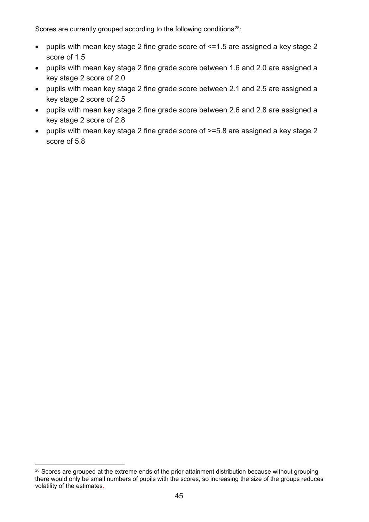Scores are currently grouped according to the following conditions<sup>28</sup>:

- pupils with mean key stage 2 fine grade score of <=1.5 are assigned a key stage 2 score of 1.5
- pupils with mean key stage 2 fine grade score between 1.6 and 2.0 are assigned a key stage 2 score of 2.0
- pupils with mean key stage 2 fine grade score between 2.1 and 2.5 are assigned a key stage 2 score of 2.5
- pupils with mean key stage 2 fine grade score between 2.6 and 2.8 are assigned a key stage 2 score of 2.8
- pupils with mean key stage 2 fine grade score of >=5.8 are assigned a key stage 2 score of 5.8

<span id="page-44-0"></span><sup>&</sup>lt;sup>28</sup> Scores are grouped at the extreme ends of the prior attainment distribution because without grouping there would only be small numbers of pupils with the scores, so increasing the size of the groups reduces volatility of the estimates*.*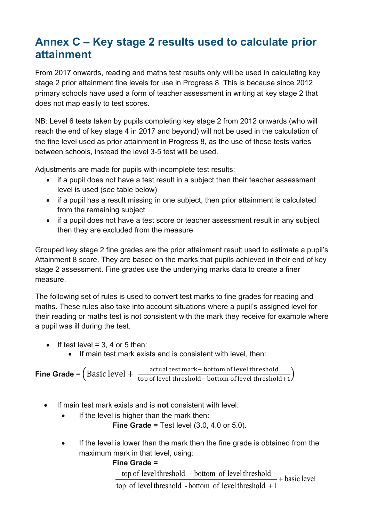# <span id="page-45-0"></span>**Annex C – Key stage 2 results used to calculate prior attainment**

From 2017 onwards, reading and maths test results only will be used in calculating key stage 2 prior attainment fine levels for use in Progress 8. This is because since 2012 primary schools have used a form of teacher assessment in writing at key stage 2 that does not map easily to test scores.

NB: Level 6 tests taken by pupils completing key stage 2 from 2012 onwards (who will reach the end of key stage 4 in 2017 and beyond) will not be used in the calculation of the fine level used as prior attainment in Progress 8, as the use of these tests varies between schools, instead the level 3-5 test will be used.

Adjustments are made for pupils with incomplete test results:

- if a pupil does not have a test result in a subject then their teacher assessment level is used (see table below)
- if a pupil has a result missing in one subject, then prior attainment is calculated from the remaining subject
- if a pupil does not have a test score or teacher assessment result in any subject then they are excluded from the measure

Grouped key stage 2 fine grades are the prior attainment result used to estimate a pupil's Attainment 8 score. They are based on the marks that pupils achieved in their end of key stage 2 assessment. Fine grades use the underlying marks data to create a finer measure.

The following set of rules is used to convert test marks to fine grades for reading and maths. These rules also take into account situations where a pupil's assigned level for their reading or maths test is not consistent with the mark they receive for example where a pupil was ill during the test.

- If test level =  $3.4$  or  $5$  then:
	- If main test mark exists and is consistent with level, then:

**Fine Grade** =  $\left(Basic \text{ level } + \frac{\text{actual test mark}-\text{bottom of level threshold}}{\text{top of level threshold}-\text{bottom of level threshold}+1}\right)$ 

- If main test mark exists and is **not** consistent with level:
	- If the level is higher than the mark then:

**Fine Grade =** Test level (3.0, 4.0 or 5.0).

• If the level is lower than the mark then the fine grade is obtained from the maximum mark in that level, using:

#### **Fine Grade =**

basic level top of level threshold - bottom of level threshold  $+1$ top of level threshold – bottom of level threshold + −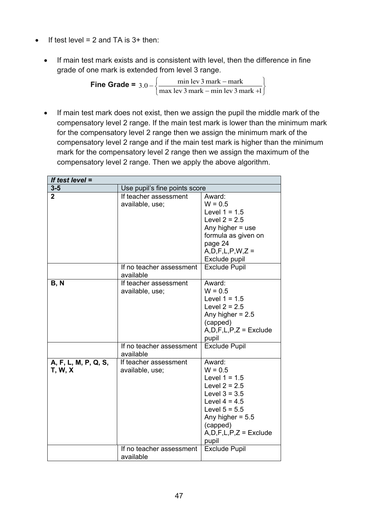- If test level  $= 2$  and TA is  $3+$  then:
	- If main test mark exists and is consistent with level, then the difference in fine grade of one mark is extended from level 3 range.

**Fine Grade =** J  $\left\{ \right.$ 1  $\overline{\mathfrak{l}}$ ┤  $\int$  $3.0 - \begin{cases} \frac{\text{min} \text{lev } 3 \text{ mark} - \text{mark}}{\text{max} \text{ lev } 3 \text{ mark} - \text{min} \text{ lev } 3 \text{ mark } +1} \end{cases}$ 

• If main test mark does not exist, then we assign the pupil the middle mark of the compensatory level 2 range. If the main test mark is lower than the minimum mark for the compensatory level 2 range then we assign the minimum mark of the compensatory level 2 range and if the main test mark is higher than the minimum mark for the compensatory level 2 range then we assign the maximum of the compensatory level 2 range. Then we apply the above algorithm.

| If test level $=$    |                                       |                              |
|----------------------|---------------------------------------|------------------------------|
| $3 - 5$              | Use pupil's fine points score         |                              |
| $\overline{2}$       | If teacher assessment                 | Award:                       |
|                      | available, use;                       | $W = 0.5$                    |
|                      |                                       | Level $1 = 1.5$              |
|                      |                                       | Level $2 = 2.5$              |
|                      |                                       | Any higher $=$ use           |
|                      |                                       | formula as given on          |
|                      |                                       | page 24                      |
|                      |                                       | $A, D, F, L, P, W, Z =$      |
|                      |                                       | Exclude pupil                |
|                      | If no teacher assessment              | <b>Exclude Pupil</b>         |
|                      | available                             |                              |
| <b>B, N</b>          | If teacher assessment                 | Award:                       |
|                      | available, use;                       | $W = 0.5$                    |
|                      |                                       | Level $1 = 1.5$              |
|                      |                                       | Level $2 = 2.5$              |
|                      |                                       | Any higher $= 2.5$           |
|                      |                                       | (capped)                     |
|                      |                                       | $A, D, F, L, P, Z =$ Exclude |
|                      |                                       | pupil                        |
|                      | If no teacher assessment<br>available | <b>Exclude Pupil</b>         |
| A, F, L, M, P, Q, S, | If teacher assessment                 | Award:                       |
| <b>T, W, X</b>       | available, use;                       | $W = 0.5$                    |
|                      |                                       | Level $1 = 1.5$              |
|                      |                                       | Level $2 = 2.5$              |
|                      |                                       | Level $3 = 3.5$              |
|                      |                                       | Level $4 = 4.5$              |
|                      |                                       | Level $5 = 5.5$              |
|                      |                                       | Any higher $= 5.5$           |
|                      |                                       | (capped)                     |
|                      |                                       | $A, D, F, L, P, Z =$ Exclude |
|                      |                                       | pupil                        |
|                      | If no teacher assessment              | <b>Exclude Pupil</b>         |
|                      | available                             |                              |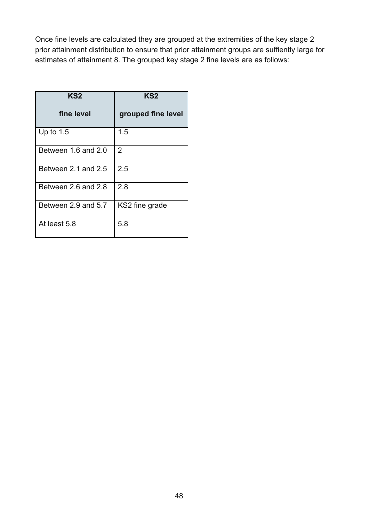Once fine levels are calculated they are grouped at the extremities of the key stage 2 prior attainment distribution to ensure that prior attainment groups are suffiently large for estimates of attainment 8. The grouped key stage 2 fine levels are as follows:

| KS <sub>2</sub>     | KS <sub>2</sub>    |
|---------------------|--------------------|
| fine level          | grouped fine level |
| Up to $1.5$         | 1.5                |
| Between 1.6 and 2.0 | $\overline{2}$     |
| Between 2.1 and 2.5 | 2.5                |
| Between 2.6 and 2.8 | 2.8                |
| Between 2.9 and 5.7 | KS2 fine grade     |
| At least 5.8        | 5.8                |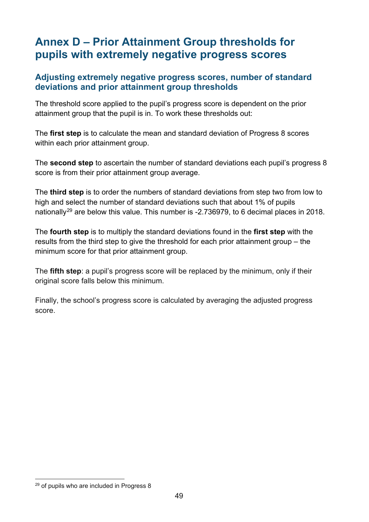# <span id="page-48-0"></span>**Annex D – Prior Attainment Group thresholds for pupils with extremely negative progress scores**

#### <span id="page-48-1"></span>**Adjusting extremely negative progress scores, number of standard deviations and prior attainment group thresholds**

The threshold score applied to the pupil's progress score is dependent on the prior attainment group that the pupil is in. To work these thresholds out:

The **first step** is to calculate the mean and standard deviation of Progress 8 scores within each prior attainment group.

The **second step** to ascertain the number of standard deviations each pupil's progress 8 score is from their prior attainment group average.

The **third step** is to order the numbers of standard deviations from step two from low to high and select the number of standard deviations such that about 1% of pupils nationally<sup>[29](#page-48-2)</sup> are below this value. This number is -2.736979, to 6 decimal places in 2018.

The **fourth step** is to multiply the standard deviations found in the **first step** with the results from the third step to give the threshold for each prior attainment group – the minimum score for that prior attainment group.

The **fifth step**: a pupil's progress score will be replaced by the minimum, only if their original score falls below this minimum.

Finally, the school's progress score is calculated by averaging the adjusted progress score.

<span id="page-48-2"></span> $29$  of pupils who are included in Progress 8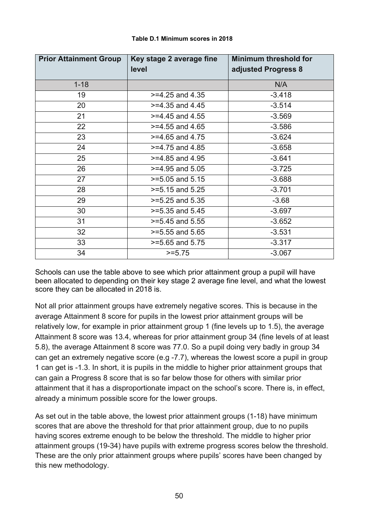<span id="page-49-0"></span>

| <b>Prior Attainment Group</b> | Key stage 2 average fine<br>level | <b>Minimum threshold for</b><br>adjusted Progress 8 |
|-------------------------------|-----------------------------------|-----------------------------------------------------|
| $1 - 18$                      |                                   | N/A                                                 |
| 19                            | $>=$ 4.25 and 4.35                | $-3.418$                                            |
| 20                            | $>=$ 4.35 and 4.45                | $-3.514$                                            |
| 21                            | $>=$ 4.45 and 4.55                | $-3.569$                                            |
| 22                            | $>=$ 4.55 and 4.65                | $-3.586$                                            |
| 23                            | $>=$ 4.65 and 4.75                | $-3.624$                                            |
| 24                            | $>= 4.75$ and 4.85                | $-3.658$                                            |
| 25                            | $>=$ 4.85 and 4.95                | $-3.641$                                            |
| 26                            | $>=$ 4.95 and 5.05                | $-3.725$                                            |
| 27                            | $>=5.05$ and $5.15$               | $-3.688$                                            |
| 28                            | $>=5.15$ and $5.25$               | $-3.701$                                            |
| 29                            | $>=5.25$ and $5.35$               | $-3.68$                                             |
| 30                            | $>= 5.35$ and $5.45$              | $-3.697$                                            |
| 31                            | $>=5.45$ and $5.55$               | $-3.652$                                            |
| 32                            | $>=5.55$ and 5.65                 | $-3.531$                                            |
| 33                            | $>=5.65$ and $5.75$               | $-3.317$                                            |
| 34                            | $>= 5.75$                         | $-3.067$                                            |

#### **Table D.1 Minimum scores in 2018**

Schools can use the table above to see which prior attainment group a pupil will have been allocated to depending on their key stage 2 average fine level, and what the lowest score they can be allocated in 2018 is.

Not all prior attainment groups have extremely negative scores. This is because in the average Attainment 8 score for pupils in the lowest prior attainment groups will be relatively low, for example in prior attainment group 1 (fine levels up to 1.5), the average Attainment 8 score was 13.4, whereas for prior attainment group 34 (fine levels of at least 5.8), the average Attainment 8 score was 77.0. So a pupil doing very badly in group 34 can get an extremely negative score (e.g -7.7), whereas the lowest score a pupil in group 1 can get is -1.3. In short, it is pupils in the middle to higher prior attainment groups that can gain a Progress 8 score that is so far below those for others with similar prior attainment that it has a disproportionate impact on the school's score. There is, in effect, already a minimum possible score for the lower groups.

As set out in the table above, the lowest prior attainment groups (1-18) have minimum scores that are above the threshold for that prior attainment group, due to no pupils having scores extreme enough to be below the threshold. The middle to higher prior attainment groups (19-34) have pupils with extreme progress scores below the threshold. These are the only prior attainment groups where pupils' scores have been changed by this new methodology.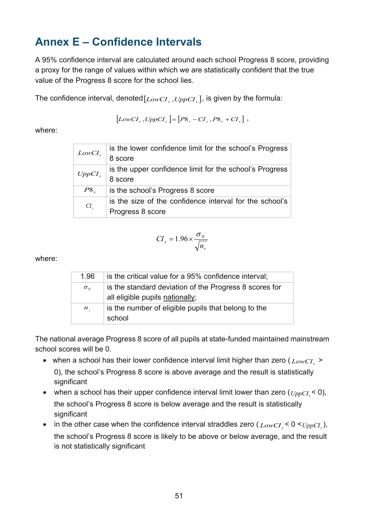# <span id="page-50-0"></span>**Annex E – Confidence Intervals**

A 95% confidence interval are calculated around each school Progress 8 score, providing a proxy for the range of values within which we are statistically confident that the true value of the Progress 8 score for the school lies.

The confidence interval, denoted  $[LowCI_s, UppCI_s]$ , is given by the formula:

$$
\left[LowCI_s, UppCI_s\right] = \left[ P8_s - CI_s, P8_s + CI_s \right],
$$

where:

| LowCI <sub>s</sub> | is the lower confidence limit for the school's Progress |
|--------------------|---------------------------------------------------------|
|                    | 8 score                                                 |
| UppCI <sub>s</sub> | is the upper confidence limit for the school's Progress |
|                    | 8 score                                                 |
| P8 <sub>s</sub>    | is the school's Progress 8 score                        |
|                    | is the size of the confidence interval for the school's |
| $CI_s$             | Progress 8 score                                        |

$$
CI_s = 1.96 \times \frac{\sigma_{N}}{\sqrt{n_s}}
$$

where:

| 1.96         | is the critical value for a 95% confidence interval;   |
|--------------|--------------------------------------------------------|
| $\sigma_{N}$ | is the standard deviation of the Progress 8 scores for |
|              | all eligible pupils nationally;                        |
| $n_{\rm c}$  | is the number of eligible pupils that belong to the    |
|              | school                                                 |

The national average Progress 8 score of all pupils at state-funded maintained mainstream school scores will be 0.

- when a school has their lower confidence interval limit higher than zero  $(L_{\text{OWCI}} >$ 0), the school's Progress 8 score is above average and the result is statistically significant
- when a school has their upper confidence interval limit lower than zero  $(\text{UppCI}_{\leq 0}),$ the school's Progress 8 score is below average and the result is statistically significant
- in the other case when the confidence interval straddles zero  $(LowCI \leq 0 \leq UppCI \leq)$ , the school's Progress 8 score is likely to be above or below average, and the result is not statistically significant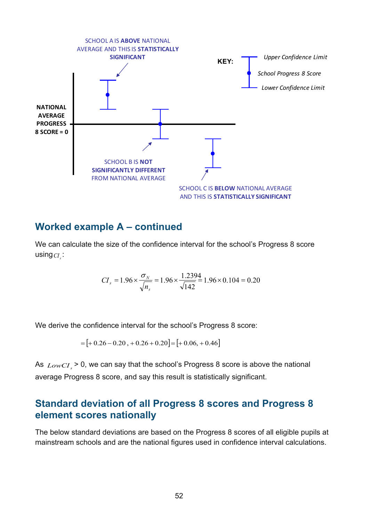

#### <span id="page-51-0"></span>**Worked example A – continued**

We can calculate the size of the confidence interval for the school's Progress 8 score  $using <sub>CI</sub>$ :

$$
CI_s = 1.96 \times \frac{\sigma_N}{\sqrt{n_s}} = 1.96 \times \frac{1.2394}{\sqrt{142}} = 1.96 \times 0.104 = 0.20
$$

We derive the confidence interval for the school's Progress 8 score:

$$
= [ +0.26 - 0.20 + 0.26 + 0.20] = [ +0.06, +0.46]
$$

As  $LowCI$  > 0, we can say that the school's Progress 8 score is above the national average Progress 8 score, and say this result is statistically significant.

#### <span id="page-51-1"></span>**Standard deviation of all Progress 8 scores and Progress 8 element scores nationally**

<span id="page-51-2"></span>The below standard deviations are based on the Progress 8 scores of all eligible pupils at mainstream schools and are the national figures used in confidence interval calculations.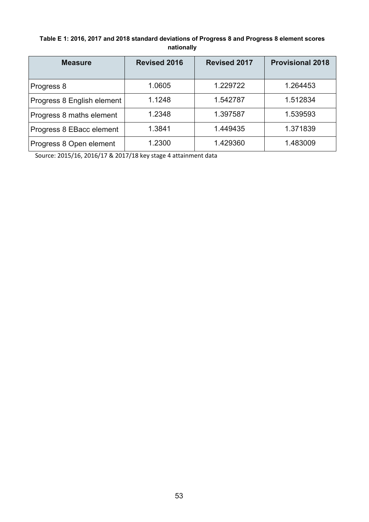#### **Table E 1: 2016, 2017 and 2018 standard deviations of Progress 8 and Progress 8 element scores nationally**

| <b>Measure</b>             | <b>Revised 2016</b> | <b>Revised 2017</b> | <b>Provisional 2018</b> |
|----------------------------|---------------------|---------------------|-------------------------|
| Progress 8                 | 1.0605              | 1.229722            | 1.264453                |
| Progress 8 English element | 1.1248              | 1.542787            | 1.512834                |
| Progress 8 maths element   | 1.2348              | 1.397587            | 1.539593                |
| Progress 8 EBacc element   | 1.3841              | 1.449435            | 1.371839                |
| Progress 8 Open element    | 1.2300              | 1.429360            | 1.483009                |

Source: 2015/16, 2016/17 & 2017/18 key stage 4 attainment data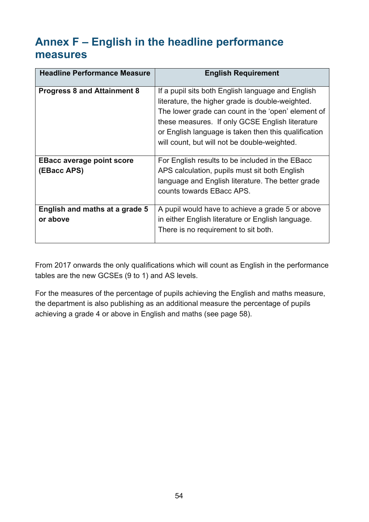# <span id="page-53-0"></span>**Annex F – English in the headline performance measures**

| <b>Headline Performance Measure</b>             | <b>English Requirement</b>                                                                                                                                                         |
|-------------------------------------------------|------------------------------------------------------------------------------------------------------------------------------------------------------------------------------------|
| <b>Progress 8 and Attainment 8</b>              | If a pupil sits both English language and English<br>literature, the higher grade is double-weighted.<br>The lower grade can count in the 'open' element of                        |
|                                                 | these measures. If only GCSE English literature<br>or English language is taken then this qualification<br>will count, but will not be double-weighted.                            |
| <b>EBacc average point score</b><br>(EBacc APS) | For English results to be included in the EBacc<br>APS calculation, pupils must sit both English<br>language and English literature. The better grade<br>counts towards EBacc APS. |
| English and maths at a grade 5<br>or above      | A pupil would have to achieve a grade 5 or above<br>in either English literature or English language.<br>There is no requirement to sit both.                                      |

From 2017 onwards the only qualifications which will count as English in the performance tables are the new GCSEs (9 to 1) and AS levels.

For the measures of the percentage of pupils achieving the English and maths measure, the department is also publishing as an additional measure the percentage of pupils achieving a grade 4 or above in English and maths (see page 58).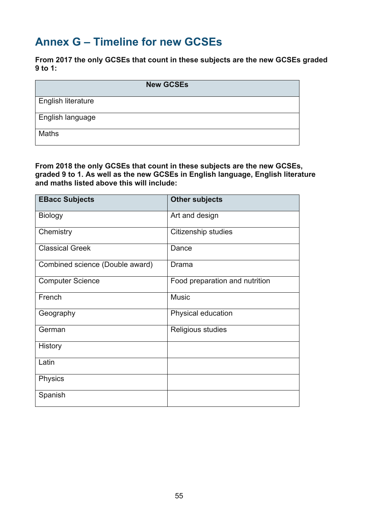# <span id="page-54-0"></span>**Annex G – Timeline for new GCSEs**

**From 2017 the only GCSEs that count in these subjects are the new GCSEs graded 9 to 1:**

| <b>New GCSEs</b>          |
|---------------------------|
| <b>English literature</b> |
| English language          |
| <b>Maths</b>              |

**From 2018 the only GCSEs that count in these subjects are the new GCSEs, graded 9 to 1. As well as the new GCSEs in English language, English literature and maths listed above this will include:**

| <b>EBacc Subjects</b>           | <b>Other subjects</b>          |
|---------------------------------|--------------------------------|
| <b>Biology</b>                  | Art and design                 |
| Chemistry                       | Citizenship studies            |
| <b>Classical Greek</b>          | Dance                          |
| Combined science (Double award) | Drama                          |
| <b>Computer Science</b>         | Food preparation and nutrition |
| French                          | <b>Music</b>                   |
| Geography                       | Physical education             |
| German                          | Religious studies              |
| History                         |                                |
| Latin                           |                                |
| Physics                         |                                |
| Spanish                         |                                |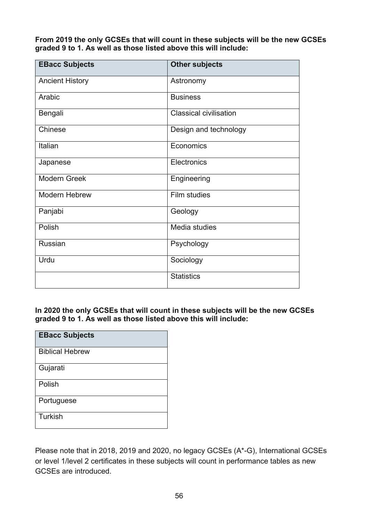**From 2019 the only GCSEs that will count in these subjects will be the new GCSEs graded 9 to 1. As well as those listed above this will include:**

| <b>EBacc Subjects</b>  | <b>Other subjects</b>         |
|------------------------|-------------------------------|
| <b>Ancient History</b> | Astronomy                     |
| Arabic                 | <b>Business</b>               |
| Bengali                | <b>Classical civilisation</b> |
| Chinese                | Design and technology         |
| Italian                | Economics                     |
| Japanese               | Electronics                   |
| <b>Modern Greek</b>    | Engineering                   |
| <b>Modern Hebrew</b>   | <b>Film studies</b>           |
| Panjabi                | Geology                       |
| Polish                 | Media studies                 |
| <b>Russian</b>         | Psychology                    |
| Urdu                   | Sociology                     |
|                        | <b>Statistics</b>             |

**In 2020 the only GCSEs that will count in these subjects will be the new GCSEs graded 9 to 1. As well as those listed above this will include:**

| <b>EBacc Subjects</b>  |
|------------------------|
| <b>Biblical Hebrew</b> |
| Gujarati               |
| Polish                 |
| Portuguese             |
| Turkish                |

Please note that in 2018, 2019 and 2020, no legacy GCSEs (A\*-G), International GCSEs or level 1/level 2 certificates in these subjects will count in performance tables as new GCSEs are introduced.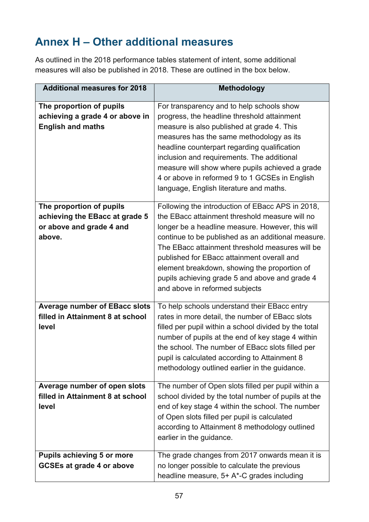# <span id="page-56-0"></span>**Annex H – Other additional measures**

As outlined in the 2018 performance tables statement of intent, some additional measures will also be published in 2018. These are outlined in the box below.

| <b>Additional measures for 2018</b>                                                              | <b>Methodology</b>                                                                                                                                                                                                                                                                                                                                                                                                                                |
|--------------------------------------------------------------------------------------------------|---------------------------------------------------------------------------------------------------------------------------------------------------------------------------------------------------------------------------------------------------------------------------------------------------------------------------------------------------------------------------------------------------------------------------------------------------|
| The proportion of pupils<br>achieving a grade 4 or above in<br><b>English and maths</b>          | For transparency and to help schools show<br>progress, the headline threshold attainment<br>measure is also published at grade 4. This<br>measures has the same methodology as its<br>headline counterpart regarding qualification<br>inclusion and requirements. The additional<br>measure will show where pupils achieved a grade<br>4 or above in reformed 9 to 1 GCSEs in English<br>language, English literature and maths.                  |
| The proportion of pupils<br>achieving the EBacc at grade 5<br>or above and grade 4 and<br>above. | Following the introduction of EBacc APS in 2018,<br>the EBacc attainment threshold measure will no<br>longer be a headline measure. However, this will<br>continue to be published as an additional measure.<br>The EBacc attainment threshold measures will be<br>published for EBacc attainment overall and<br>element breakdown, showing the proportion of<br>pupils achieving grade 5 and above and grade 4<br>and above in reformed subjects |
| <b>Average number of EBacc slots</b><br>filled in Attainment 8 at school<br>level                | To help schools understand their EBacc entry<br>rates in more detail, the number of EBacc slots<br>filled per pupil within a school divided by the total<br>number of pupils at the end of key stage 4 within<br>the school. The number of EBacc slots filled per<br>pupil is calculated according to Attainment 8<br>methodology outlined earlier in the guidance.                                                                               |
| Average number of open slots<br>filled in Attainment 8 at school<br>level                        | The number of Open slots filled per pupil within a<br>school divided by the total number of pupils at the<br>end of key stage 4 within the school. The number<br>of Open slots filled per pupil is calculated<br>according to Attainment 8 methodology outlined<br>earlier in the guidance.                                                                                                                                                       |
| <b>Pupils achieving 5 or more</b><br><b>GCSEs at grade 4 or above</b>                            | The grade changes from 2017 onwards mean it is<br>no longer possible to calculate the previous<br>headline measure, 5+ A*-C grades including                                                                                                                                                                                                                                                                                                      |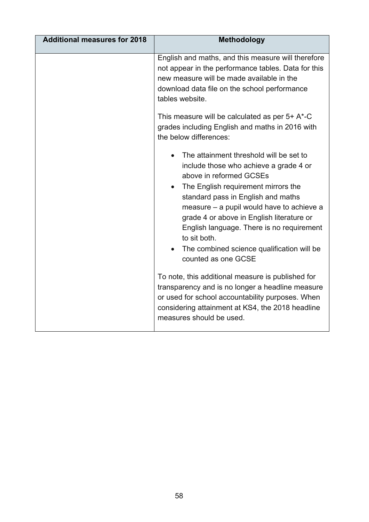| <b>Additional measures for 2018</b> | <b>Methodology</b>                                                                                                                                                                                                                                                                                                                                                                                                                                                                                                                                                                                                  |
|-------------------------------------|---------------------------------------------------------------------------------------------------------------------------------------------------------------------------------------------------------------------------------------------------------------------------------------------------------------------------------------------------------------------------------------------------------------------------------------------------------------------------------------------------------------------------------------------------------------------------------------------------------------------|
|                                     | English and maths, and this measure will therefore<br>not appear in the performance tables. Data for this<br>new measure will be made available in the<br>download data file on the school performance<br>tables website.<br>This measure will be calculated as per $5+ A^*$ -C<br>grades including English and maths in 2016 with<br>the below differences:<br>The attainment threshold will be set to<br>include those who achieve a grade 4 or<br>above in reformed GCSEs<br>The English requirement mirrors the<br>$\bullet$<br>standard pass in English and maths<br>measure – a pupil would have to achieve a |
|                                     | grade 4 or above in English literature or<br>English language. There is no requirement<br>to sit both.<br>The combined science qualification will be<br>counted as one GCSE                                                                                                                                                                                                                                                                                                                                                                                                                                         |
|                                     | To note, this additional measure is published for<br>transparency and is no longer a headline measure<br>or used for school accountability purposes. When<br>considering attainment at KS4, the 2018 headline<br>measures should be used.                                                                                                                                                                                                                                                                                                                                                                           |